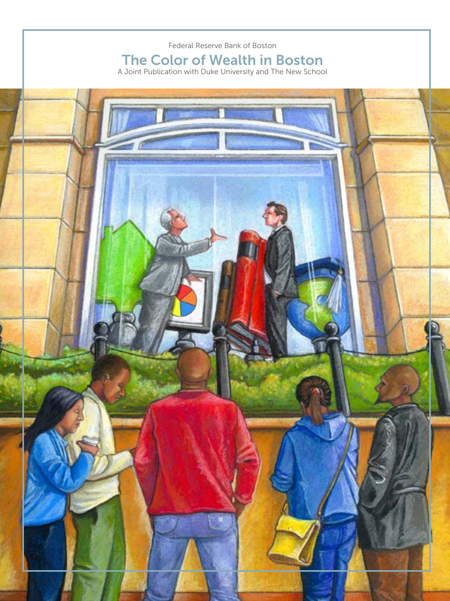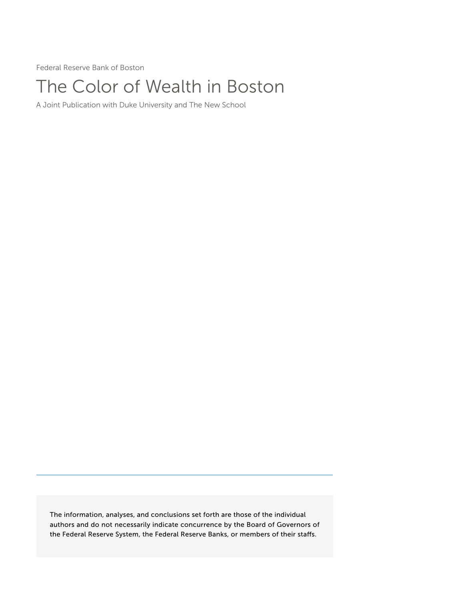Federal Reserve Bank of Boston

# The Color of Wealth in Boston

A Joint Publication with Duke University and The New School

The information, analyses, and conclusions set forth are those of the individual authors and do not necessarily indicate concurrence by the Board of Governors of the Federal Reserve System, the Federal Reserve Banks, or members of their staffs.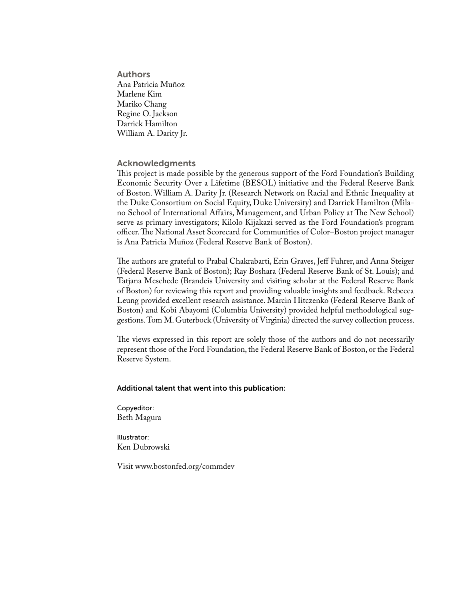Authors Ana Patricia Muñoz Marlene Kim Mariko Chang Regine O. Jackson Darrick Hamilton William A. Darity Jr.

### Acknowledgments

This project is made possible by the generous support of the Ford Foundation's Building Economic Security Over a Lifetime (BESOL) initiative and the Federal Reserve Bank of Boston. William A. Darity Jr. (Research Network on Racial and Ethnic Inequality at the Duke Consortium on Social Equity, Duke University) and Darrick Hamilton (Milano School of International Affairs, Management, and Urban Policy at The New School) serve as primary investigators; Kilolo Kijakazi served as the Ford Foundation's program officer. The National Asset Scorecard for Communities of Color–Boston project manager is Ana Patricia Muñoz (Federal Reserve Bank of Boston).

The authors are grateful to Prabal Chakrabarti, Erin Graves, Jeff Fuhrer, and Anna Steiger (Federal Reserve Bank of Boston); Ray Boshara (Federal Reserve Bank of St. Louis); and Tatjana Meschede (Brandeis University and visiting scholar at the Federal Reserve Bank of Boston) for reviewing this report and providing valuable insights and feedback. Rebecca Leung provided excellent research assistance. Marcin Hitczenko (Federal Reserve Bank of Boston) and Kobi Abayomi (Columbia University) provided helpful methodological suggestions. Tom M. Guterbock (University of Virginia) directed the survey collection process.

The views expressed in this report are solely those of the authors and do not necessarily represent those of the Ford Foundation, the Federal Reserve Bank of Boston, or the Federal Reserve System.

### Additional talent that went into this publication:

Copyeditor: Beth Magura

Illustrator: Ken Dubrowski

Visit www.bostonfed.org/commdev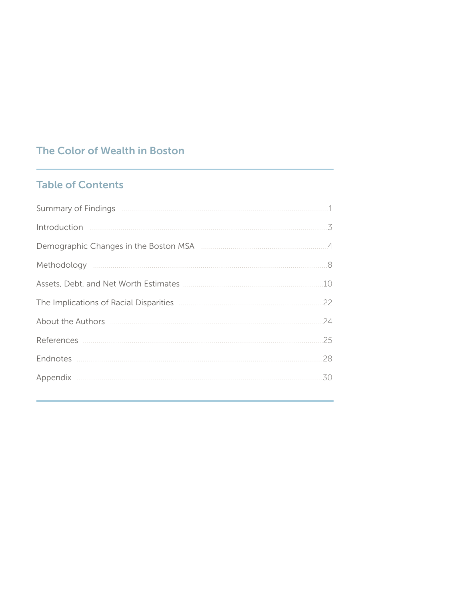### The Color of Wealth in Boston

## **Table of Contents**

|                                                                                                                                                                                                                                                                         | 3  |
|-------------------------------------------------------------------------------------------------------------------------------------------------------------------------------------------------------------------------------------------------------------------------|----|
|                                                                                                                                                                                                                                                                         |    |
|                                                                                                                                                                                                                                                                         |    |
|                                                                                                                                                                                                                                                                         | 10 |
|                                                                                                                                                                                                                                                                         | 22 |
| About the Authors <b>contracts</b> and the Authors <b>contracts</b> and the Authors <b>contracts</b> and the Authors <b>contracts</b> and the Authors <b>contracts</b> and the Authors <b>contracts</b> and the Authors <b>contracts</b> and the Authors <b>contrac</b> | 24 |
|                                                                                                                                                                                                                                                                         | 25 |
|                                                                                                                                                                                                                                                                         | 28 |
|                                                                                                                                                                                                                                                                         | 30 |
|                                                                                                                                                                                                                                                                         |    |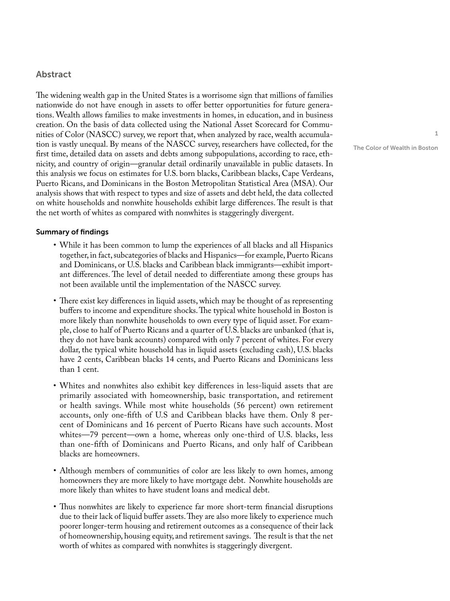### Abstract

The widening wealth gap in the United States is a worrisome sign that millions of families nationwide do not have enough in assets to offer better opportunities for future generations. Wealth allows families to make investments in homes, in education, and in business creation. On the basis of data collected using the National Asset Scorecard for Communities of Color (NASCC) survey, we report that, when analyzed by race, wealth accumulation is vastly unequal. By means of the NASCC survey, researchers have collected, for the first time, detailed data on assets and debts among subpopulations, according to race, ethnicity, and country of origin—granular detail ordinarily unavailable in public datasets. In this analysis we focus on estimates for U.S. born blacks, Caribbean blacks, Cape Verdeans, Puerto Ricans, and Dominicans in the Boston Metropolitan Statistical Area (MSA). Our analysis shows that with respect to types and size of assets and debt held, the data collected on white households and nonwhite households exhibit large differences. The result is that the net worth of whites as compared with nonwhites is staggeringly divergent.

### Summary of findings

- While it has been common to lump the experiences of all blacks and all Hispanics together, in fact, subcategories of blacks and Hispanics—for example, Puerto Ricans and Dominicans, or U.S. blacks and Caribbean black immigrants—exhibit important differences. The level of detail needed to differentiate among these groups has not been available until the implementation of the NASCC survey.
- There exist key differences in liquid assets, which may be thought of as representing buffers to income and expenditure shocks. The typical white household in Boston is more likely than nonwhite households to own every type of liquid asset. For example, close to half of Puerto Ricans and a quarter of U.S. blacks are unbanked (that is, they do not have bank accounts) compared with only 7 percent of whites. For every dollar, the typical white household has in liquid assets (excluding cash), U.S. blacks have 2 cents, Caribbean blacks 14 cents, and Puerto Ricans and Dominicans less than 1 cent.
- Whites and nonwhites also exhibit key differences in less-liquid assets that are primarily associated with homeownership, basic transportation, and retirement or health savings. While most white households (56 percent) own retirement accounts, only one-fifth of U.S and Caribbean blacks have them. Only 8 percent of Dominicans and 16 percent of Puerto Ricans have such accounts. Most whites—79 percent—own a home, whereas only one-third of U.S. blacks, less than one-fifth of Dominicans and Puerto Ricans, and only half of Caribbean blacks are homeowners.
- Although members of communities of color are less likely to own homes, among homeowners they are more likely to have mortgage debt. Nonwhite households are more likely than whites to have student loans and medical debt.
- Thus nonwhites are likely to experience far more short-term financial disruptions due to their lack of liquid buffer assets. They are also more likely to experience much poorer longer-term housing and retirement outcomes as a consequence of their lack of homeownership, housing equity, and retirement savings. The result is that the net worth of whites as compared with nonwhites is staggeringly divergent.

1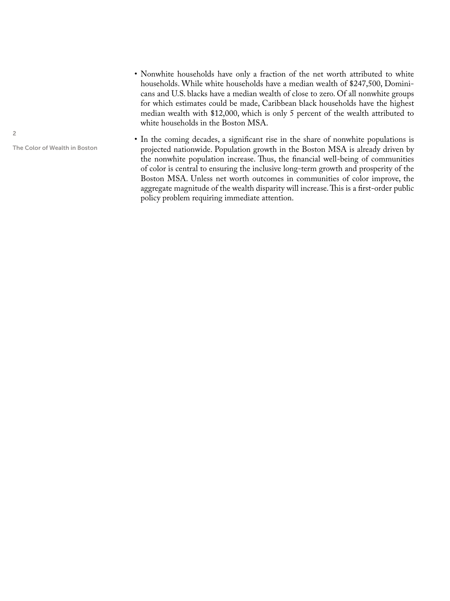• Nonwhite households have only a fraction of the net worth attributed to white households. While white households have a median wealth of \$247,500, Dominicans and U.S. blacks have a median wealth of close to zero. Of all nonwhite groups for which estimates could be made, Caribbean black households have the highest median wealth with \$12,000, which is only 5 percent of the wealth attributed to white households in the Boston MSA.

• In the coming decades, a significant rise in the share of nonwhite populations is projected nationwide. Population growth in the Boston MSA is already driven by the nonwhite population increase. Thus, the financial well-being of communities of color is central to ensuring the inclusive long-term growth and prosperity of the Boston MSA. Unless net worth outcomes in communities of color improve, the aggregate magnitude of the wealth disparity will increase. This is a first-order public policy problem requiring immediate attention.

2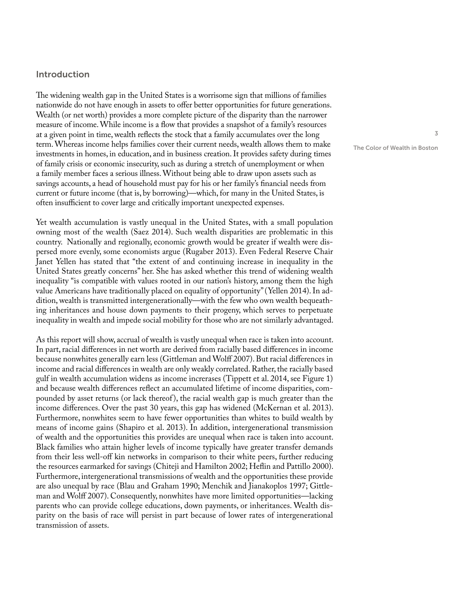### Introduction

The widening wealth gap in the United States is a worrisome sign that millions of families nationwide do not have enough in assets to offer better opportunities for future generations. Wealth (or net worth) provides a more complete picture of the disparity than the narrower measure of income. While income is a flow that provides a snapshot of a family's resources at a given point in time, wealth reflects the stock that a family accumulates over the long term. Whereas income helps families cover their current needs, wealth allows them to make investments in homes, in education, and in business creation. It provides safety during times of family crisis or economic insecurity, such as during a stretch of unemployment or when a family member faces a serious illness. Without being able to draw upon assets such as savings accounts, a head of household must pay for his or her family's financial needs from current or future income (that is, by borrowing)—which, for many in the United States, is often insufficient to cover large and critically important unexpected expenses.

Yet wealth accumulation is vastly unequal in the United States, with a small population owning most of the wealth (Saez 2014). Such wealth disparities are problematic in this country. Nationally and regionally, economic growth would be greater if wealth were dispersed more evenly, some economists argue (Rugaber 2013). Even Federal Reserve Chair Janet Yellen has stated that "the extent of and continuing increase in inequality in the United States greatly concerns" her. She has asked whether this trend of widening wealth inequality "is compatible with values rooted in our nation's history, among them the high value Americans have traditionally placed on equality of opportunity" (Yellen 2014). In addition, wealth is transmitted intergenerationally—with the few who own wealth bequeathing inheritances and house down payments to their progeny, which serves to perpetuate inequality in wealth and impede social mobility for those who are not similarly advantaged.

As this report will show, accrual of wealth is vastly unequal when race is taken into account. In part, racial differences in net worth are derived from racially based differences in income because nonwhites generally earn less (Gittleman and Wolff 2007). But racial differences in income and racial differences in wealth are only weakly correlated. Rather, the racially based gulf in wealth accumulation widens as income increrases (Tippett et al. 2014, see Figure 1) and because wealth differences reflect an accumulated lifetime of income disparities, compounded by asset returns (or lack thereof), the racial wealth gap is much greater than the income differences. Over the past 30 years, this gap has widened (McKernan et al. 2013). Furthermore, nonwhites seem to have fewer opportunities than whites to build wealth by means of income gains (Shapiro et al. 2013). In addition, intergenerational transmission of wealth and the opportunities this provides are unequal when race is taken into account. Black families who attain higher levels of income typically have greater transfer demands from their less well-off kin networks in comparison to their white peers, further reducing the resources earmarked for savings (Chiteji and Hamilton 2002; Heflin and Pattillo 2000). Furthermore, intergenerational transmissions of wealth and the opportunities these provide are also unequal by race (Blau and Graham 1990; Menchik and Jianakoplos 1997; Gittleman and Wolff 2007). Consequently, nonwhites have more limited opportunities—lacking parents who can provide college educations, down payments, or inheritances. Wealth disparity on the basis of race will persist in part because of lower rates of intergenerational transmission of assets.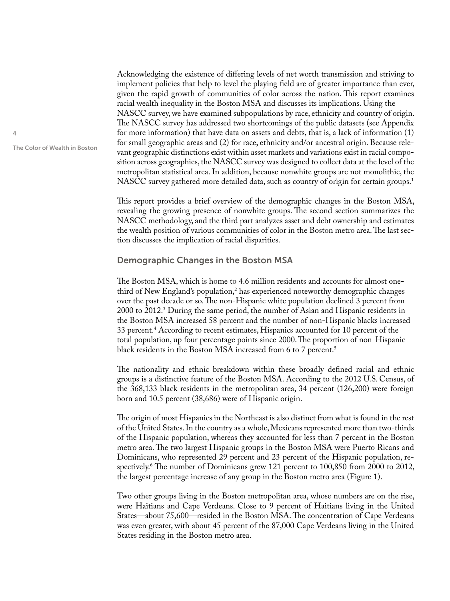Acknowledging the existence of differing levels of net worth transmission and striving to implement policies that help to level the playing field are of greater importance than ever, given the rapid growth of communities of color across the nation. This report examines racial wealth inequality in the Boston MSA and discusses its implications. Using the NASCC survey, we have examined subpopulations by race, ethnicity and country of origin. The NASCC survey has addressed two shortcomings of the public datasets (see Appendix for more information) that have data on assets and debts, that is, a lack of information (1) for small geographic areas and (2) for race, ethnicity and/or ancestral origin. Because relevant geographic distinctions exist within asset markets and variations exist in racial composition across geographies, the NASCC survey was designed to collect data at the level of the metropolitan statistical area. In addition, because nonwhite groups are not monolithic, the NASCC survey gathered more detailed data, such as country of origin for certain groups.<sup>1</sup>

This report provides a brief overview of the demographic changes in the Boston MSA, revealing the growing presence of nonwhite groups. The second section summarizes the NASCC methodology, and the third part analyzes asset and debt ownership and estimates the wealth position of various communities of color in the Boston metro area. The last section discusses the implication of racial disparities.

### Demographic Changes in the Boston MSA

The Boston MSA, which is home to 4.6 million residents and accounts for almost onethird of New England's population, $^2$  has experienced noteworthy demographic changes over the past decade or so. The non-Hispanic white population declined 3 percent from 2000 to 2012.3 During the same period, the number of Asian and Hispanic residents in the Boston MSA increased 58 percent and the number of non-Hispanic blacks increased 33 percent.4 According to recent estimates, Hispanics accounted for 10 percent of the total population, up four percentage points since 2000. The proportion of non-Hispanic black residents in the Boston MSA increased from 6 to 7 percent.<sup>5</sup>

The nationality and ethnic breakdown within these broadly defined racial and ethnic groups is a distinctive feature of the Boston MSA. According to the 2012 U.S. Census, of the 368,133 black residents in the metropolitan area, 34 percent (126,200) were foreign born and 10.5 percent (38,686) were of Hispanic origin.

The origin of most Hispanics in the Northeast is also distinct from what is found in the rest of the United States. In the country as a whole, Mexicans represented more than two-thirds of the Hispanic population, whereas they accounted for less than 7 percent in the Boston metro area. The two largest Hispanic groups in the Boston MSA were Puerto Ricans and Dominicans, who represented 29 percent and 23 percent of the Hispanic population, respectively.6 The number of Dominicans grew 121 percent to 100,850 from 2000 to 2012, the largest percentage increase of any group in the Boston metro area (Figure 1).

Two other groups living in the Boston metropolitan area, whose numbers are on the rise, were Haitians and Cape Verdeans. Close to 9 percent of Haitians living in the United States—about 75,600—resided in the Boston MSA. The concentration of Cape Verdeans was even greater, with about 45 percent of the 87,000 Cape Verdeans living in the United States residing in the Boston metro area.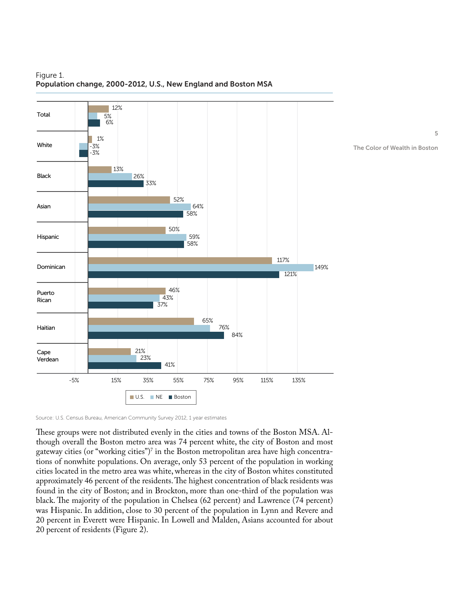

### Figure 1. Population change, 2000-2012, U.S., New England and Boston MSA

Source: U.S. Census Bureau, American Community Survey 2012, 1 year estimates

These groups were not distributed evenly in the cities and towns of the Boston MSA. Although overall the Boston metro area was 74 percent white, the city of Boston and most gateway cities (or "working cities")<sup>7</sup> in the Boston metropolitan area have high concentrations of nonwhite populations. On average, only 53 percent of the population in working cities located in the metro area was white, whereas in the city of Boston whites constituted approximately 46 percent of the residents. The highest concentration of black residents was found in the city of Boston; and in Brockton, more than one-third of the population was black. The majority of the population in Chelsea (62 percent) and Lawrence (74 percent) was Hispanic. In addition, close to 30 percent of the population in Lynn and Revere and 20 percent in Everett were Hispanic. In Lowell and Malden, Asians accounted for about 20 percent of residents (Figure 2).

5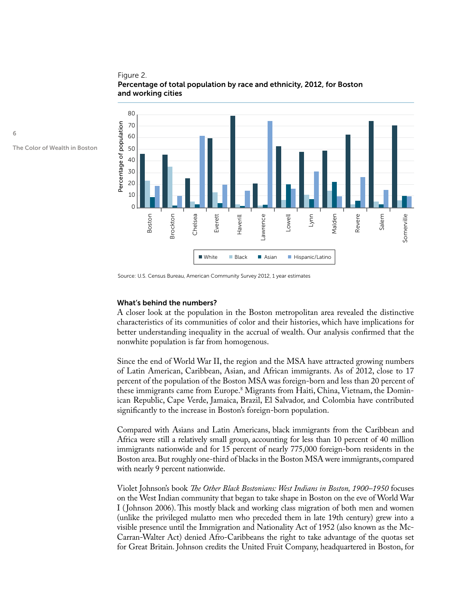### Figure 2. Percentage of total population by race and ethnicity, 2012, for Boston and working cities



The Color of Wealth in Boston

6

### What's behind the numbers?

A closer look at the population in the Boston metropolitan area revealed the distinctive characteristics of its communities of color and their histories, which have implications for better understanding inequality in the accrual of wealth. Our analysis confirmed that the nonwhite population is far from homogenous.

Since the end of World War II, the region and the MSA have attracted growing numbers of Latin American, Caribbean, Asian, and African immigrants. As of 2012, close to 17 percent of the population of the Boston MSA was foreign-born and less than 20 percent of these immigrants came from Europe.8 Migrants from Haiti, China, Vietnam, the Dominican Republic, Cape Verde, Jamaica, Brazil, El Salvador, and Colombia have contributed significantly to the increase in Boston's foreign-born population.

Compared with Asians and Latin Americans, black immigrants from the Caribbean and Africa were still a relatively small group, accounting for less than 10 percent of 40 million immigrants nationwide and for 15 percent of nearly 775,000 foreign-born residents in the Boston area. But roughly one-third of blacks in the Boston MSA were immigrants, compared with nearly 9 percent nationwide.

Violet Johnson's book *The Other Black Bostonians: West Indians in Boston, 1900–1950* focuses on the West Indian community that began to take shape in Boston on the eve of World War I (Johnson 2006). This mostly black and working class migration of both men and women (unlike the privileged mulatto men who preceded them in late 19th century) grew into a visible presence until the Immigration and Nationality Act of 1952 (also known as the Mc-Carran-Walter Act) denied Afro-Caribbeans the right to take advantage of the quotas set For Great Britain. The metric community funery 1978 and the United Fruit Company, headquartered in Boston, for Great Britain. The United Fruit Company, the United Fruit Constant Company, the United Freumer American Commun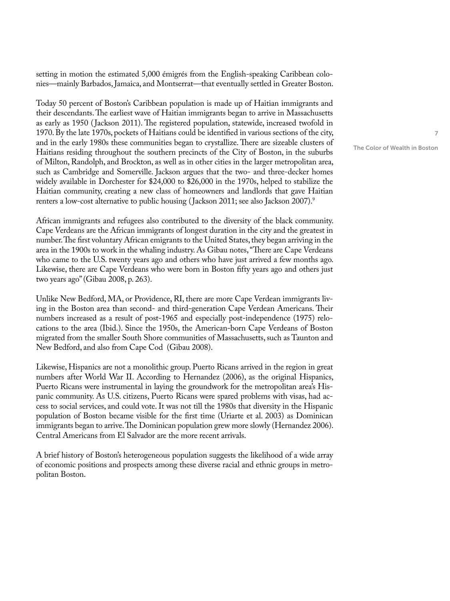setting in motion the estimated 5,000 émigrés from the English-speaking Caribbean colonies—mainly Barbados, Jamaica, and Montserrat—that eventually settled in Greater Boston.

Today 50 percent of Boston's Caribbean population is made up of Haitian immigrants and their descendants. The earliest wave of Haitian immigrants began to arrive in Massachusetts as early as 1950 (Jackson 2011). The registered population, statewide, increased twofold in 1970. By the late 1970s, pockets of Haitians could be identified in various sections of the city, and in the early 1980s these communities began to crystallize. There are sizeable clusters of Haitians residing throughout the southern precincts of the City of Boston, in the suburbs of Milton, Randolph, and Brockton, as well as in other cities in the larger metropolitan area, such as Cambridge and Somerville. Jackson argues that the two- and three-decker homes widely available in Dorchester for \$24,000 to \$26,000 in the 1970s, helped to stabilize the Haitian community, creating a new class of homeowners and landlords that gave Haitian renters a low-cost alternative to public housing (Jackson 2011; see also Jackson 2007).<sup>9</sup>

African immigrants and refugees also contributed to the diversity of the black community. Cape Verdeans are the African immigrants of longest duration in the city and the greatest in number. The first voluntary African emigrants to the United States, they began arriving in the area in the 1900s to work in the whaling industry. As Gibau notes, "There are Cape Verdeans who came to the U.S. twenty years ago and others who have just arrived a few months ago. Likewise, there are Cape Verdeans who were born in Boston fifty years ago and others just two years ago" (Gibau 2008, p. 263).

Unlike New Bedford, MA, or Providence, RI, there are more Cape Verdean immigrants living in the Boston area than second- and third-generation Cape Verdean Americans. Their numbers increased as a result of post-1965 and especially post-independence (1975) relocations to the area (Ibid.). Since the 1950s, the American-born Cape Verdeans of Boston migrated from the smaller South Shore communities of Massachusetts, such as Taunton and New Bedford, and also from Cape Cod (Gibau 2008).

Likewise, Hispanics are not a monolithic group. Puerto Ricans arrived in the region in great numbers after World War II. According to Hernandez (2006), as the original Hispanics, Puerto Ricans were instrumental in laying the groundwork for the metropolitan area's Hispanic community. As U.S. citizens, Puerto Ricans were spared problems with visas, had access to social services, and could vote. It was not till the 1980s that diversity in the Hispanic population of Boston became visible for the first time (Uriarte et al. 2003) as Dominican immigrants began to arrive. The Dominican population grew more slowly (Hernandez 2006). Central Americans from El Salvador are the more recent arrivals.

A brief history of Boston's heterogeneous population suggests the likelihood of a wide array of economic positions and prospects among these diverse racial and ethnic groups in metropolitan Boston.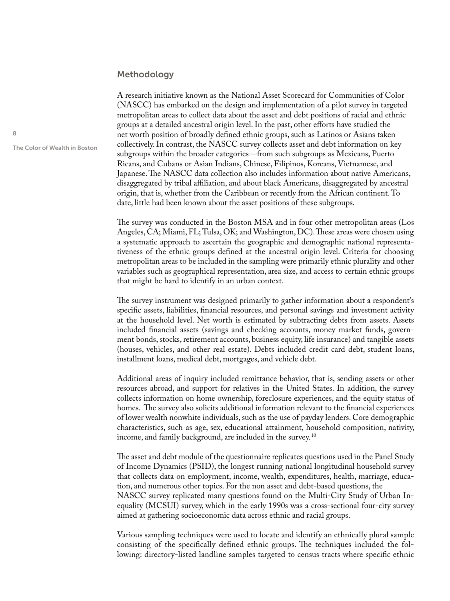### Methodology

A research initiative known as the National Asset Scorecard for Communities of Color (NASCC) has embarked on the design and implementation of a pilot survey in targeted metropolitan areas to collect data about the asset and debt positions of racial and ethnic groups at a detailed ancestral origin level. In the past, other efforts have studied the net worth position of broadly defined ethnic groups, such as Latinos or Asians taken collectively. In contrast, the NASCC survey collects asset and debt information on key subgroups within the broader categories—from such subgroups as Mexicans, Puerto Ricans, and Cubans or Asian Indians, Chinese, Filipinos, Koreans, Vietnamese, and Japanese. The NASCC data collection also includes information about native Americans, disaggregated by tribal affiliation, and about black Americans, disaggregated by ancestral origin, that is, whether from the Caribbean or recently from the African continent. To date, little had been known about the asset positions of these subgroups.

The survey was conducted in the Boston MSA and in four other metropolitan areas (Los Angeles, CA; Miami, FL; Tulsa, OK; and Washington, DC). These areas were chosen using a systematic approach to ascertain the geographic and demographic national representativeness of the ethnic groups defined at the ancestral origin level. Criteria for choosing metropolitan areas to be included in the sampling were primarily ethnic plurality and other variables such as geographical representation, area size, and access to certain ethnic groups that might be hard to identify in an urban context.

The survey instrument was designed primarily to gather information about a respondent's specific assets, liabilities, financial resources, and personal savings and investment activity at the household level. Net worth is estimated by subtracting debts from assets. Assets included financial assets (savings and checking accounts, money market funds, government bonds, stocks, retirement accounts, business equity, life insurance) and tangible assets (houses, vehicles, and other real estate). Debts included credit card debt, student loans, installment loans, medical debt, mortgages, and vehicle debt.

Additional areas of inquiry included remittance behavior, that is, sending assets or other resources abroad, and support for relatives in the United States. In addition, the survey collects information on home ownership, foreclosure experiences, and the equity status of homes. The survey also solicits additional information relevant to the financial experiences of lower wealth nonwhite individuals, such as the use of payday lenders. Core demographic characteristics, such as age, sex, educational attainment, household composition, nativity, income, and family background, are included in the survey. 10

The asset and debt module of the questionnaire replicates questions used in the Panel Study of Income Dynamics (PSID), the longest running national longitudinal household survey that collects data on employment, income, wealth, expenditures, health, marriage, education, and numerous other topics. For the non asset and debt-based questions, the NASCC survey replicated many questions found on the Multi-City Study of Urban Inequality (MCSUI) survey, which in the early 1990s was a cross-sectional four-city survey aimed at gathering socioeconomic data across ethnic and racial groups.

Various sampling techniques were used to locate and identify an ethnically plural sample consisting of the specifically defined ethnic groups. The techniques included the following: directory-listed landline samples targeted to census tracts where specific ethnic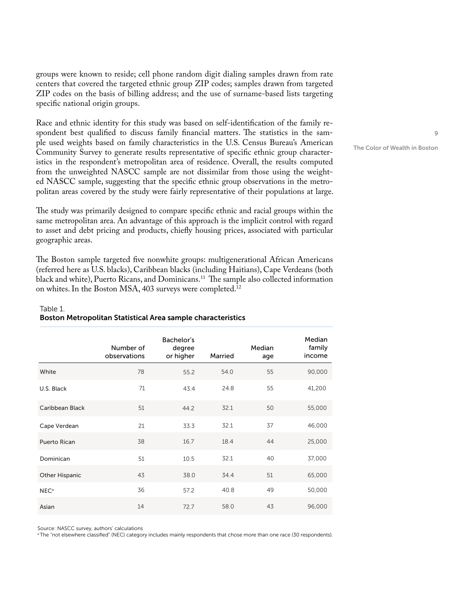groups were known to reside; cell phone random digit dialing samples drawn from rate centers that covered the targeted ethnic group ZIP codes; samples drawn from targeted ZIP codes on the basis of billing address; and the use of surname-based lists targeting specific national origin groups.

Race and ethnic identity for this study was based on self-identification of the family respondent best qualified to discuss family financial matters. The statistics in the sample used weights based on family characteristics in the U.S. Census Bureau's American Community Survey to generate results representative of specific ethnic group characteristics in the respondent's metropolitan area of residence. Overall, the results computed from the unweighted NASCC sample are not dissimilar from those using the weighted NASCC sample, suggesting that the specific ethnic group observations in the metropolitan areas covered by the study were fairly representative of their populations at large.

The study was primarily designed to compare specific ethnic and racial groups within the same metropolitan area. An advantage of this approach is the implicit control with regard to asset and debt pricing and products, chiefly housing prices, associated with particular geographic areas.

The Boston sample targeted five nonwhite groups: multigenerational African Americans (referred here as U.S. blacks), Caribbean blacks (including Haitians), Cape Verdeans (both black and white), Puerto Ricans, and Dominicans.<sup>11</sup> The sample also collected information on whites. In the Boston MSA, 403 surveys were completed.12

### Table 1. Boston Metropolitan Statistical Area sample characteristics

|                       | Number of<br>observations | Bachelor's<br>degree<br>or higher | Married | Median<br>age | Median<br>family<br>income |
|-----------------------|---------------------------|-----------------------------------|---------|---------------|----------------------------|
| White                 | 78                        | 55.2                              | 54.0    | 55            | 90,000                     |
| U.S. Black            | 71                        | 43.4                              | 24.8    | 55            | 41,200                     |
| Caribbean Black       | 51                        | 44.2                              | 32.1    | 50            | 55,000                     |
| Cape Verdean          | 21                        | 33.3                              | 32.1    | 37            | 46,000                     |
| Puerto Rican          | 38                        | 16.7                              | 18.4    | 44            | 25,000                     |
| Dominican             | 51                        | 10.5                              | 32.1    | 40            | 37,000                     |
| <b>Other Hispanic</b> | 43                        | 38.0                              | 34.4    | 51            | 65,000                     |
| NEC <sup>a</sup>      | 36                        | 57.2                              | 40.8    | 49            | 50,000                     |
| Asian                 | 14                        | 72.7                              | 58.0    | 43            | 96,000                     |

Source: NASCC survey, authors' calculations

<sup>a</sup> The "not elsewhere classified" (NEC) category includes mainly respondents that chose more than one race (30 respondents).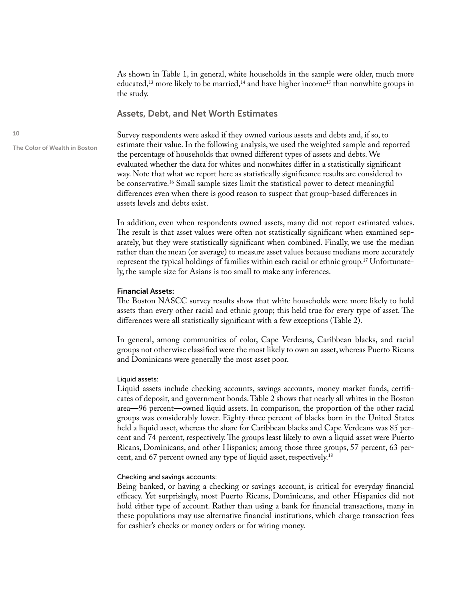As shown in Table 1, in general, white households in the sample were older, much more educated,<sup>13</sup> more likely to be married,<sup>14</sup> and have higher income<sup>15</sup> than nonwhite groups in the study.

### Assets, Debt, and Net Worth Estimates

The Color of Wealth in Boston

Survey respondents were asked if they owned various assets and debts and, if so, to estimate their value. In the following analysis, we used the weighted sample and reported the percentage of households that owned different types of assets and debts. We evaluated whether the data for whites and nonwhites differ in a statistically significant way. Note that what we report here as statistically significance results are considered to be conservative.<sup>16</sup> Small sample sizes limit the statistical power to detect meaningful differences even when there is good reason to suspect that group-based differences in assets levels and debts exist.

In addition, even when respondents owned assets, many did not report estimated values. The result is that asset values were often not statistically significant when examined separately, but they were statistically significant when combined. Finally, we use the median rather than the mean (or average) to measure asset values because medians more accurately represent the typical holdings of families within each racial or ethnic group.<sup>17</sup> Unfortunately, the sample size for Asians is too small to make any inferences.

### Financial Assets:

The Boston NASCC survey results show that white households were more likely to hold assets than every other racial and ethnic group; this held true for every type of asset. The differences were all statistically significant with a few exceptions (Table 2).

In general, among communities of color, Cape Verdeans, Caribbean blacks, and racial groups not otherwise classified were the most likely to own an asset, whereas Puerto Ricans and Dominicans were generally the most asset poor.

### Liquid assets:

Liquid assets include checking accounts, savings accounts, money market funds, certificates of deposit, and government bonds. Table 2 shows that nearly all whites in the Boston area—96 percent—owned liquid assets. In comparison, the proportion of the other racial groups was considerably lower. Eighty-three percent of blacks born in the United States held a liquid asset, whereas the share for Caribbean blacks and Cape Verdeans was 85 percent and 74 percent, respectively. The groups least likely to own a liquid asset were Puerto Ricans, Dominicans, and other Hispanics; among those three groups, 57 percent, 63 percent, and 67 percent owned any type of liquid asset, respectively.18

#### Checking and savings accounts:

Being banked, or having a checking or savings account, is critical for everyday financial efficacy. Yet surprisingly, most Puerto Ricans, Dominicans, and other Hispanics did not hold either type of account. Rather than using a bank for financial transactions, many in these populations may use alternative financial institutions, which charge transaction fees for cashier's checks or money orders or for wiring money.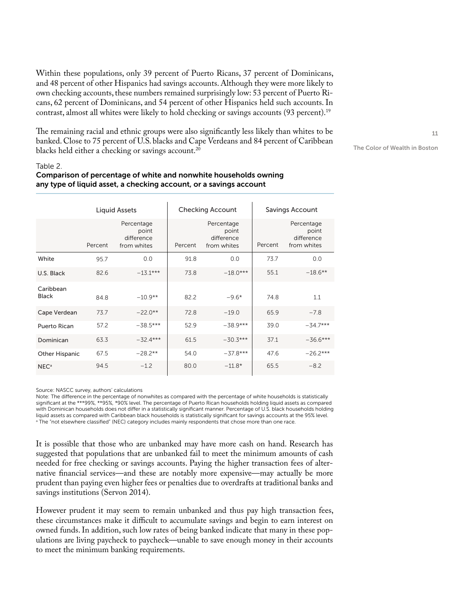Within these populations, only 39 percent of Puerto Ricans, 37 percent of Dominicans, and 48 percent of other Hispanics had savings accounts. Although they were more likely to own checking accounts, these numbers remained surprisingly low: 53 percent of Puerto Ricans, 62 percent of Dominicans, and 54 percent of other Hispanics held such accounts. In contrast, almost all whites were likely to hold checking or savings accounts (93 percent).<sup>19</sup>

The remaining racial and ethnic groups were also significantly less likely than whites to be banked. Close to 75 percent of U.S. blacks and Cape Verdeans and 84 percent of Caribbean blacks held either a checking or savings account.<sup>20</sup>

The Color of Wealth in Boston

### Table 2.

### Comparison of percentage of white and nonwhite households owning any type of liquid asset, a checking account, or a savings account

|                           |         | Liquid Assets                                    |         | <b>Checking Account</b>                          | Savings Account |                                                  |  |
|---------------------------|---------|--------------------------------------------------|---------|--------------------------------------------------|-----------------|--------------------------------------------------|--|
|                           | Percent | Percentage<br>point<br>difference<br>from whites | Percent | Percentage<br>point<br>difference<br>from whites | Percent         | Percentage<br>point<br>difference<br>from whites |  |
| White                     | 95.7    | 0.0                                              | 91.8    | 0.0                                              | 73.7            | 0.0                                              |  |
| U.S. Black                | 82.6    | $-131***$                                        | 73.8    | $-18.0***$                                       | 55.1            | $-18.6**$                                        |  |
| Caribbean<br><b>Black</b> | 84.8    | $-10.9**$                                        | 82.2    | $-9.6*$                                          | 74.8            | 1.1                                              |  |
| Cape Verdean              | 73.7    | $-22.0**$                                        | 72.8    | $-19.0$                                          | 65.9            | $-7.8$                                           |  |
| Puerto Rican              | 57.2    | $-38.5***$                                       | 52.9    | $-38.9***$                                       | 39.0            | $-34.7***$                                       |  |
| Dominican                 | 63.3    | $-32.4***$                                       | 61.5    | $-30.3***$                                       | 37.1            | $-36.6***$                                       |  |
| Other Hispanic            | 67.5    | $-28.2**$                                        | 54.0    | $-37.8***$                                       | 47.6            | $-26.2***$                                       |  |
| NEC <sup>a</sup>          | 94.5    | $-1.2$                                           | 80.0    | $-11.8*$                                         | 65.5            | $-8.2$                                           |  |

Source: NASCC survey, authors' calculations

Note: The difference in the percentage of nonwhites as compared with the percentage of white households is statistically significant at the \*\*\*99%, \*\*95%, \*90% level. The percentage of Puerto Rican households holding liquid assets as compared with Dominican households does not differ in a statistically significant manner. Percentage of U.S. black households holding liquid assets as compared with Caribbean black households is statistically significant for savings accounts at the 95% level. a The "not elsewhere classified" (NEC) category includes mainly respondents that chose more than one race.

It is possible that those who are unbanked may have more cash on hand. Research has suggested that populations that are unbanked fail to meet the minimum amounts of cash needed for free checking or savings accounts. Paying the higher transaction fees of alternative financial services—and these are notably more expensive—may actually be more prudent than paying even higher fees or penalties due to overdrafts at traditional banks and savings institutions (Servon 2014).

However prudent it may seem to remain unbanked and thus pay high transaction fees, these circumstances make it difficult to accumulate savings and begin to earn interest on owned funds. In addition, such low rates of being banked indicate that many in these populations are living paycheck to paycheck—unable to save enough money in their accounts to meet the minimum banking requirements.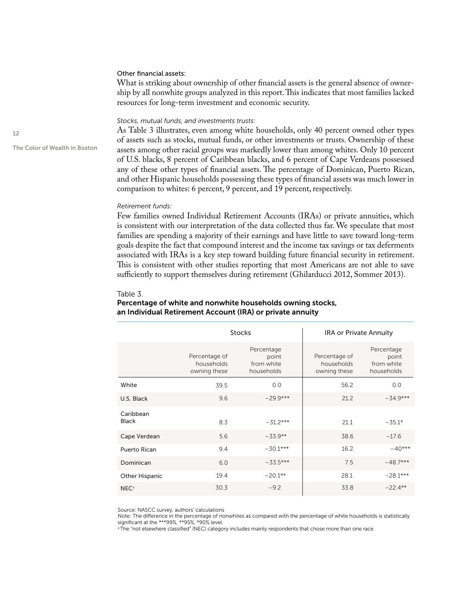### Other financial assets:

What is striking about ownership of other financial assets is the general absence of ownership by all nonwhite groups analyzed in this report. This indicates that most families lacked resources for long-term investment and economic security.

### *Stocks, mutual funds, and investments trusts:*

As Table 3 illustrates, even among white households, only 40 percent owned other types of assets such as stocks, mutual funds, or other investments or trusts. Ownership of these assets among other racial groups was markedly lower than among whites. Only 10 percent of U.S. blacks, 8 percent of Caribbean blacks, and 6 percent of Cape Verdeans possessed any of these other types of financial assets. The percentage of Dominican, Puerto Rican, and other Hispanic households possessing these types of financial assets was much lower in comparison to whites: 6 percent, 9 percent, and 19 percent, respectively.

#### *Retirement funds:*

Few families owned Individual Retirement Accounts (IRAs) or private annuities, which is consistent with our interpretation of the data collected thus far. We speculate that most families are spending a majority of their earnings and have little to save toward long-term goals despite the fact that compound interest and the income tax savings or tax deferments associated with IRAs is a key step toward building future financial security in retirement. This is consistent with other studies reporting that most Americans are not able to save sufficiently to support themselves during retirement (Ghilarducci 2012, Sommer 2013).

#### Table 3.

### Percentage of white and nonwhite households owning stocks, an Individual Retirement Account (IRA) or private annuity

|                           |                                             | <b>Stocks</b>                                   | <b>IRA or Private Annuity</b>               |                                                 |
|---------------------------|---------------------------------------------|-------------------------------------------------|---------------------------------------------|-------------------------------------------------|
|                           | Percentage of<br>households<br>owning these | Percentage<br>point<br>from white<br>households | Percentage of<br>households<br>owning these | Percentage<br>point<br>from white<br>households |
| White                     | 39.5                                        | 0.0                                             | 56.2                                        | 0.0                                             |
| U.S. Black                | 9.6                                         | $-29.9***$                                      | 21.2                                        | $-34.9***$                                      |
| Caribbean<br><b>Black</b> | 8.3                                         | $-31.2***$                                      | 21.1                                        | $-35.1*$                                        |
| Cape Verdean              | 5.6                                         | $-33.9**$                                       | 38.6                                        | $-17.6$                                         |
| Puerto Rican              | 9.4                                         | $-30.1***$                                      | 16.2                                        | $-40***$                                        |
| Dominican                 | 6.0                                         | $-33.5***$                                      | 7.5                                         | $-48.7***$                                      |
| <b>Other Hispanic</b>     | 19.4                                        | $-20.1**$                                       | 28.1                                        | $-28.1***$                                      |
| NEC <sup>a</sup>          | 30.3                                        | $-9.2$                                          | 33.8                                        | $-22.4**$                                       |

Source: NASCC survey, authors' calculations

Note: The difference in the percentage of nonwhites as compared with the percentage of white households is statistically significant at the \*\*\*99%, \*\*95%, \*90% level.

<sup>a</sup> The "not elsewhere classified" (NEC) category includes mainly respondents that chose more than one race.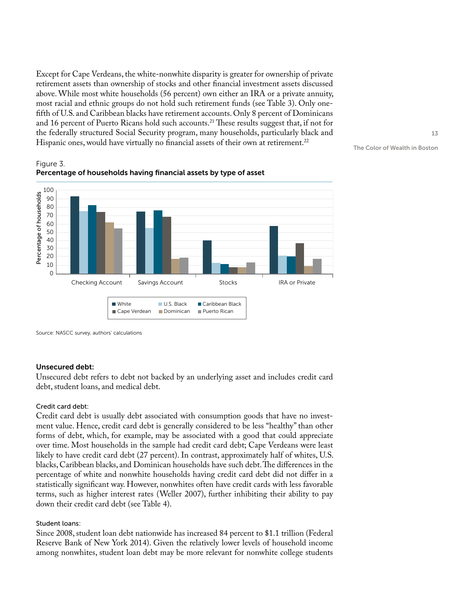Except for Cape Verdeans, the white-nonwhite disparity is greater for ownership of private retirement assets than ownership of stocks and other financial investment assets discussed above. While most white households (56 percent) own either an IRA or a private annuity, most racial and ethnic groups do not hold such retirement funds (see Table 3). Only onefifth of U.S. and Caribbean blacks have retirement accounts. Only 8 percent of Dominicans and 16 percent of Puerto Ricans hold such accounts.<sup>21</sup> These results suggest that, if not for the federally structured Social Security program, many households, particularly black and Hispanic ones, would have virtually no financial assets of their own at retirement.<sup>22</sup>





### Unsecured debt:

Unsecured debt refers to debt not backed by an underlying asset and includes credit card debt, student loans, and medical debt.

### Credit card debt:

Credit card debt is usually debt associated with consumption goods that have no investment value. Hence, credit card debt is generally considered to be less "healthy" than other forms of debt, which, for example, may be associated with a good that could appreciate over time. Most households in the sample had credit card debt; Cape Verdeans were least likely to have credit card debt (27 percent). In contrast, approximately half of whites, U.S. blacks, Caribbean blacks, and Dominican households have such debt. The differences in the percentage of white and nonwhite households having credit card debt did not differ in a statistically significant way. However, nonwhites often have credit cards with less favorable terms, such as higher interest rates (Weller 2007), further inhibiting their ability to pay down their credit card debt (see Table 4).

### Student loans:

Since 2008, student loan debt nationwide has increased 84 percent to \$1.1 trillion (Federal Reserve Bank of New York 2014). Given the relatively lower levels of household income among nonwhites, student loan debt may be more relevant for nonwhite college students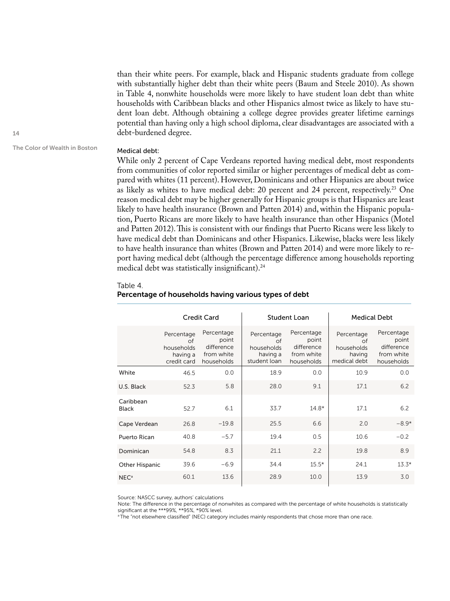than their white peers. For example, black and Hispanic students graduate from college with substantially higher debt than their white peers (Baum and Steele 2010). As shown in Table 4, nonwhite households were more likely to have student loan debt than white households with Caribbean blacks and other Hispanics almost twice as likely to have student loan debt. Although obtaining a college degree provides greater lifetime earnings potential than having only a high school diploma, clear disadvantages are associated with a debt-burdened degree.

### The Color of Wealth in Boston

### Medical debt:

While only 2 percent of Cape Verdeans reported having medical debt, most respondents from communities of color reported similar or higher percentages of medical debt as compared with whites (11 percent). However, Dominicans and other Hispanics are about twice as likely as whites to have medical debt: 20 percent and 24 percent, respectively.<sup>23</sup> One reason medical debt may be higher generally for Hispanic groups is that Hispanics are least likely to have health insurance (Brown and Patten 2014) and, within the Hispanic population, Puerto Ricans are more likely to have health insurance than other Hispanics (Motel and Patten 2012). This is consistent with our findings that Puerto Ricans were less likely to have medical debt than Dominicans and other Hispanics. Likewise, blacks were less likely to have health insurance than whites (Brown and Patten 2014) and were more likely to report having medical debt (although the percentage difference among households reporting medical debt was statistically insignificant).<sup>24</sup>

#### Table 4.

|                           |                                                           | Credit Card                                                   |                                                            | Student Loan                                                  | <b>Medical Debt</b>                                      |                                                               |  |
|---------------------------|-----------------------------------------------------------|---------------------------------------------------------------|------------------------------------------------------------|---------------------------------------------------------------|----------------------------------------------------------|---------------------------------------------------------------|--|
|                           | Percentage<br>of<br>households<br>having a<br>credit card | Percentage<br>point<br>difference<br>from white<br>households | Percentage<br>of<br>households<br>having a<br>student loan | Percentage<br>point<br>difference<br>from white<br>households | Percentage<br>of<br>households<br>having<br>medical debt | Percentage<br>point<br>difference<br>from white<br>households |  |
| White                     | 46.5                                                      | 0.0                                                           | 18.9                                                       | 0.0                                                           | 10.9                                                     | 0.0                                                           |  |
| U.S. Black                | 52.3                                                      | 5.8                                                           | 28.0                                                       | 9.1                                                           | 17.1                                                     | 6.2                                                           |  |
| Caribbean<br><b>Black</b> | 52.7                                                      | 6.1                                                           | 33.7                                                       | $14.8*$                                                       | 17.1                                                     | 6.2                                                           |  |
| Cape Verdean              | 26.8                                                      | $-19.8$                                                       | 25.5                                                       | 6.6                                                           | 2.0                                                      | $-8.9*$                                                       |  |
| Puerto Rican              | 40.8                                                      | $-5.7$                                                        | 19.4                                                       | 0.5                                                           | 10.6                                                     | $-0.2$                                                        |  |
| Dominican                 | 54.8                                                      | 8.3                                                           | 21.1                                                       | 2.2                                                           | 19.8                                                     | 8.9                                                           |  |
| Other Hispanic            | 39.6                                                      | $-6.9$                                                        | 34.4                                                       | $15.5*$                                                       | 24.1                                                     | $13.3*$                                                       |  |
| $NEC^a$                   | 60.1                                                      | 13.6                                                          | 28.9                                                       | 10.0                                                          | 13.9                                                     | 3.0                                                           |  |

### Percentage of households having various types of debt

Source: NASCC survey, authors' calculations

Note: The difference in the percentage of nonwhites as compared with the percentage of white households is statistically significant at the \*\*\*99%, \*\*95%, \*90% level.

<sup>a</sup> The "not elsewhere classified" (NEC) category includes mainly respondents that chose more than one race.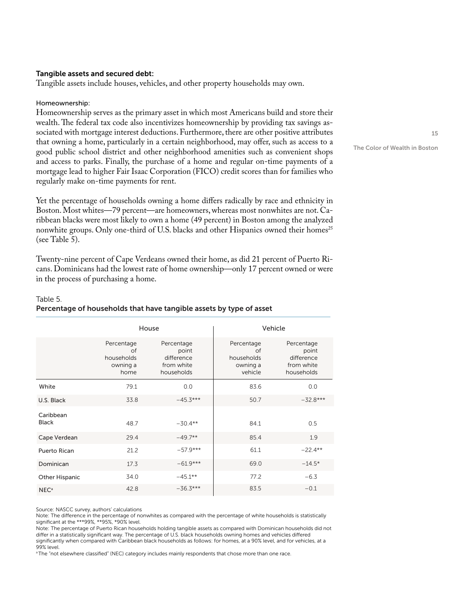### Tangible assets and secured debt:

Tangible assets include houses, vehicles, and other property households may own.

### Homeownership:

Homeownership serves as the primary asset in which most Americans build and store their wealth. The federal tax code also incentivizes homeownership by providing tax savings associated with mortgage interest deductions. Furthermore, there are other positive attributes that owning a home, particularly in a certain neighborhood, may offer, such as access to a good public school district and other neighborhood amenities such as convenient shops and access to parks. Finally, the purchase of a home and regular on-time payments of a mortgage lead to higher Fair Isaac Corporation (FICO) credit scores than for families who regularly make on-time payments for rent.

Yet the percentage of households owning a home differs radically by race and ethnicity in Boston. Most whites—79 percent—are homeowners, whereas most nonwhites are not. Caribbean blacks were most likely to own a home (49 percent) in Boston among the analyzed nonwhite groups. Only one-third of U.S. blacks and other Hispanics owned their homes<sup>25</sup> (see Table 5).

Twenty-nine percent of Cape Verdeans owned their home, as did 21 percent of Puerto Ricans. Dominicans had the lowest rate of home ownership—only 17 percent owned or were in the process of purchasing a home.

### Table 5. Percentage of households that have tangible assets by type of asset

|                           | House                                              |                                                               |                                                       | Vehicle                                                       |
|---------------------------|----------------------------------------------------|---------------------------------------------------------------|-------------------------------------------------------|---------------------------------------------------------------|
|                           | Percentage<br>of<br>households<br>owning a<br>home | Percentage<br>point<br>difference<br>from white<br>households | Percentage<br>of<br>households<br>owning a<br>vehicle | Percentage<br>point<br>difference<br>from white<br>households |
| White                     | 79.1                                               | 0.0                                                           | 83.6                                                  | 0.0                                                           |
| U.S. Black                | 33.8                                               | $-45.3***$                                                    | 50.7                                                  | $-32.8***$                                                    |
| Caribbean<br><b>Black</b> | 48.7                                               | $-30.4**$                                                     | 84.1                                                  | 0.5                                                           |
| Cape Verdean              | 29.4                                               | $-49.7**$                                                     | 85.4                                                  | 1.9                                                           |
| Puerto Rican              | 21.2                                               | $-57.9***$                                                    | 61.1                                                  | $-22.4**$                                                     |
| Dominican                 | 17.3                                               | $-61.9***$                                                    | 69.0                                                  | $-14.5*$                                                      |
| <b>Other Hispanic</b>     | 34.0                                               | $-45.1**$                                                     | 77.2                                                  | $-6.3$                                                        |
| NEC <sup>a</sup>          | 42.8                                               | $-36.3***$                                                    | 83.5                                                  | $-0.1$                                                        |

Source: NASCC survey, authors' calculations

Note: The difference in the percentage of nonwhites as compared with the percentage of white households is statistically significant at the \*\*\*99%, \*\*95%, \*90% level.

Note: The percentage of Puerto Rican households holding tangible assets as compared with Dominican households did not differ in a statistically significant way. The percentage of U.S. black households owning homes and vehicles differed significantly when compared with Caribbean black households as follows: for homes, at a 90% level, and for vehicles, at a 99% level.

a The "not elsewhere classified" (NEC) category includes mainly respondents that chose more than one race.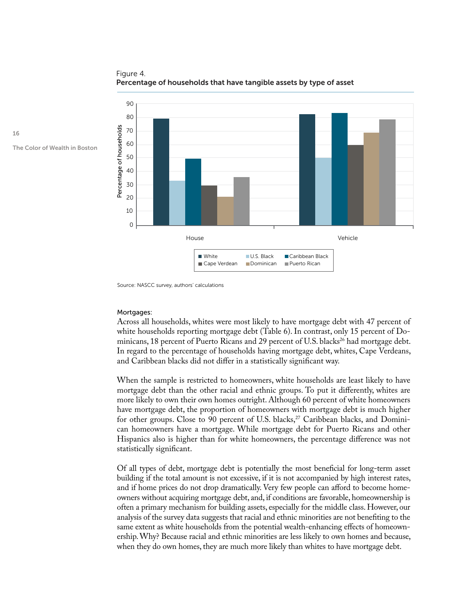

Figure 4. Percentage of households that have tangible assets by type of asset

Source: NASCC survey, authors' calculations

#### Mortgages:

Across all households, whites were most likely to have mortgage debt with 47 percent of white households reporting mortgage debt (Table 6). In contrast, only 15 percent of Dominicans, 18 percent of Puerto Ricans and 29 percent of U.S. blacks<sup>26</sup> had mortgage debt. In regard to the percentage of households having mortgage debt, whites, Cape Verdeans, and Caribbean blacks did not differ in a statistically significant way.

When the sample is restricted to homeowners, white households are least likely to have mortgage debt than the other racial and ethnic groups. To put it differently, whites are more likely to own their own homes outright. Although 60 percent of white homeowners have mortgage debt, the proportion of homeowners with mortgage debt is much higher for other groups. Close to 90 percent of U.S. blacks, $^{27}$  Caribbean blacks, and Dominican homeowners have a mortgage. While mortgage debt for Puerto Ricans and other Hispanics also is higher than for white homeowners, the percentage difference was not statistically significant.

Of all types of debt, mortgage debt is potentially the most beneficial for long-term asset building if the total amount is not excessive, if it is not accompanied by high interest rates, and if home prices do not drop dramatically. Very few people can afford to become homeowners without acquiring mortgage debt, and, if conditions are favorable, homeownership is often a primary mechanism for building assets, especially for the middle class. However, our analysis of the survey data suggests that racial and ethnic minorities are not benefiting to the same extent as white households from the potential wealth-enhancing effects of homeownership. Why? Because racial and ethnic minorities are less likely to own homes and because, when they do own homes, they are much more likely than whites to have mortgage debt.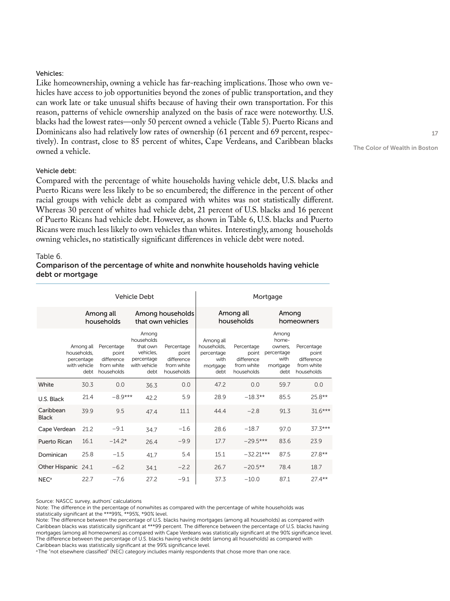### Vehicles:

Like homeownership, owning a vehicle has far-reaching implications. Those who own vehicles have access to job opportunities beyond the zones of public transportation, and they can work late or take unusual shifts because of having their own transportation. For this reason, patterns of vehicle ownership analyzed on the basis of race were noteworthy. U.S. blacks had the lowest rates—only 50 percent owned a vehicle (Table 5). Puerto Ricans and Dominicans also had relatively low rates of ownership (61 percent and 69 percent, respectively). In contrast, close to 85 percent of whites, Cape Verdeans, and Caribbean blacks owned a vehicle.

### Vehicle debt:

Compared with the percentage of white households having vehicle debt, U.S. blacks and Puerto Ricans were less likely to be so encumbered; the difference in the percent of other racial groups with vehicle debt as compared with whites was not statistically different. Whereas 30 percent of whites had vehicle debt, 21 percent of U.S. blacks and 16 percent of Puerto Ricans had vehicle debt. However, as shown in Table 6, U.S. blacks and Puerto Ricans were much less likely to own vehicles than whites. Interestingly, among households owning vehicles, no statistically significant differences in vehicle debt were noted.

### Table 6.

### Comparison of the percentage of white and nonwhite households having vehicle debt or mortgage

| <b>Vehicle Debt</b>       |                                                                |                                                               |                                                                                    |                                                               | Mortgage                                                           |                                                               |                                                                     |                                                               |
|---------------------------|----------------------------------------------------------------|---------------------------------------------------------------|------------------------------------------------------------------------------------|---------------------------------------------------------------|--------------------------------------------------------------------|---------------------------------------------------------------|---------------------------------------------------------------------|---------------------------------------------------------------|
|                           | Among all<br>households                                        |                                                               | Among households<br>that own vehicles                                              |                                                               |                                                                    | Among all<br>households                                       |                                                                     | Among<br>homeowners                                           |
|                           | Among all<br>households.<br>percentage<br>with vehicle<br>debt | Percentage<br>point<br>difference<br>from white<br>households | Among<br>households<br>that own<br>vehicles.<br>percentage<br>with vehicle<br>debt | Percentage<br>point<br>difference<br>from white<br>households | Among all<br>households.<br>percentage<br>with<br>mortgage<br>debt | Percentage<br>point<br>difference<br>from white<br>households | Among<br>home-<br>owners.<br>percentage<br>with<br>mortgage<br>debt | Percentage<br>point<br>difference<br>from white<br>households |
| White                     | 30.3                                                           | 0.0                                                           | 36.3                                                                               | 0.0                                                           | 47.2                                                               | 0.0                                                           | 59.7                                                                | 0.0                                                           |
| U.S. Black                | 21.4                                                           | $-8.9***$                                                     | 42.2                                                                               | 5.9                                                           | 28.9                                                               | $-18.3**$                                                     | 85.5                                                                | $25.8**$                                                      |
| Caribbean<br><b>Black</b> | 39.9                                                           | 9.5                                                           | 47.4                                                                               | 11.1                                                          | 44.4                                                               | $-2.8$                                                        | 91.3                                                                | $31.6***$                                                     |
| Cape Verdean              | 21.2                                                           | $-9.1$                                                        | 34.7                                                                               | $-1.6$                                                        | 28.6                                                               | $-18.7$                                                       | 97.0                                                                | $37.3***$                                                     |
| Puerto Rican              | 16.1                                                           | $-14.2*$                                                      | 26.4                                                                               | $-9.9$                                                        | 17.7                                                               | $-29.5***$                                                    | 83.6                                                                | 23.9                                                          |
| Dominican                 | 25.8                                                           | $-1.5$                                                        | 41.7                                                                               | 5.4                                                           | 15.1                                                               | $-32.21***$                                                   | 87.5                                                                | $27.8***$                                                     |
| Other Hispanic 24.1       |                                                                | $-6.2$                                                        | 341                                                                                | $-2.2$                                                        | 26.7                                                               | $-20.5**$                                                     | 78.4                                                                | 18.7                                                          |
| NEC <sup>a</sup>          | 22.7                                                           | $-7.6$                                                        | 27.2                                                                               | $-9.1$                                                        | 37.3                                                               | $-10.0$                                                       | 87.1                                                                | $27.4***$                                                     |

Source: NASCC survey, authors' calculations

Note: The difference in the percentage of nonwhites as compared with the percentage of white households was

statistically significant at the \*\*\*99%, \*\*95%, \*90% level.

Note: The difference between the percentage of U.S. blacks having mortgages (among all households) as compared with Caribbean blacks was statistically significant at \*\*\*99 percent. The difference between the percentage of U.S. blacks having mortgages (among all homeowners) as compared with Cape Verdeans was statistically significant at the 90% significance level. The difference between the percentage of U.S. blacks having vehicle debt (among all households) as compared with Caribbean blacks was statistically significant at the 99% significance level.

<sup>a</sup> The "not elsewhere classified" (NEC) category includes mainly respondents that chose more than one race.

17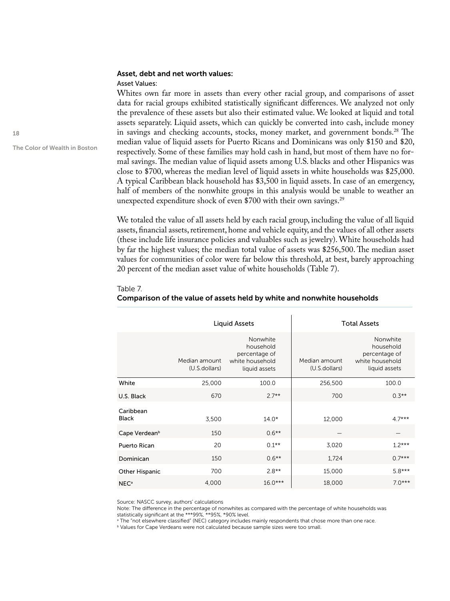### Asset, debt and net worth values:

#### Asset Values:

Whites own far more in assets than every other racial group, and comparisons of asset data for racial groups exhibited statistically significant differences. We analyzed not only the prevalence of these assets but also their estimated value. We looked at liquid and total assets separately. Liquid assets, which can quickly be converted into cash, include money in savings and checking accounts, stocks, money market, and government bonds.<sup>28</sup> The median value of liquid assets for Puerto Ricans and Dominicans was only \$150 and \$20, respectively. Some of these families may hold cash in hand, but most of them have no formal savings. The median value of liquid assets among U.S. blacks and other Hispanics was close to \$700, whereas the median level of liquid assets in white households was \$25,000. A typical Caribbean black household has \$3,500 in liquid assets. In case of an emergency, half of members of the nonwhite groups in this analysis would be unable to weather an unexpected expenditure shock of even \$700 with their own savings.<sup>29</sup>

We totaled the value of all assets held by each racial group, including the value of all liquid assets, financial assets, retirement, home and vehicle equity, and the values of all other assets (these include life insurance policies and valuables such as jewelry). White households had by far the highest values; the median total value of assets was \$256,500. The median asset values for communities of color were far below this threshold, at best, barely approaching 20 percent of the median asset value of white households (Table 7).

### Table 7.

|                           |                                | <b>Liquid Assets</b>                                                       |                                | <b>Total Assets</b>                                                        |
|---------------------------|--------------------------------|----------------------------------------------------------------------------|--------------------------------|----------------------------------------------------------------------------|
|                           | Median amount<br>(U.S.dollars) | Nonwhite<br>household<br>percentage of<br>white household<br>liquid assets | Median amount<br>(U.S.dollars) | Nonwhite<br>household<br>percentage of<br>white household<br>liquid assets |
| White                     | 25,000                         | 100.0                                                                      | 256,500                        | 100.0                                                                      |
| U.S. Black                | 670                            | $2.7**$                                                                    | 700                            | $0.3**$                                                                    |
| Caribbean<br><b>Black</b> | 3,500                          | $14.0*$                                                                    | 12,000                         | $4.7***$                                                                   |
| Cape Verdean <sup>b</sup> | 150                            | $0.6***$                                                                   |                                |                                                                            |
| Puerto Rican              | 20                             | $0.1***$                                                                   | 3,020                          | $1.2***$                                                                   |
| Dominican                 | 150                            | $0.6***$                                                                   | 1,724                          | $0.7***$                                                                   |
| <b>Other Hispanic</b>     | 700                            | $2.8**$                                                                    | 15,000                         | $5.8***$                                                                   |
| <b>NEC</b> <sup>a</sup>   | 4,000                          | $16.0***$                                                                  | 18,000                         | $7.0***$                                                                   |

### Comparison of the value of assets held by white and nonwhite households

Source: NASCC survey, authors' calculations

Note: The difference in the percentage of nonwhites as compared with the percentage of white households was statistically significant at the \*\*\*99%, \*\*95%, \*90% level.

<sup>a</sup> The "not elsewhere classified" (NEC) category includes mainly respondents that chose more than one race.

**b Values for Cape Verdeans were not calculated because sample sizes were too small.**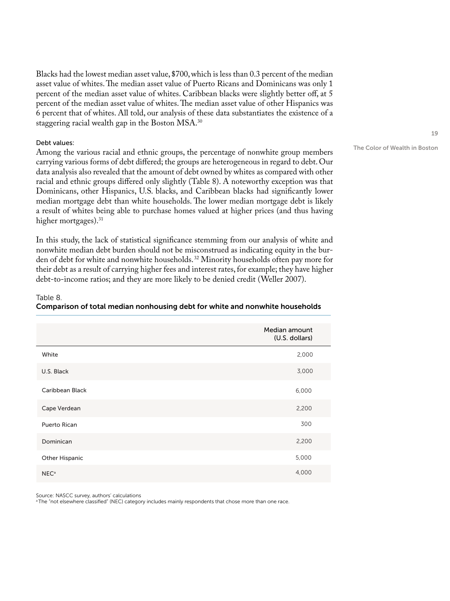Blacks had the lowest median asset value, \$700, which is less than 0.3 percent of the median asset value of whites. The median asset value of Puerto Ricans and Dominicans was only 1 percent of the median asset value of whites. Caribbean blacks were slightly better off, at 5 percent of the median asset value of whites. The median asset value of other Hispanics was 6 percent that of whites. All told, our analysis of these data substantiates the existence of a staggering racial wealth gap in the Boston MSA.<sup>30</sup>

### Debt values:

Among the various racial and ethnic groups, the percentage of nonwhite group members carrying various forms of debt differed; the groups are heterogeneous in regard to debt. Our data analysis also revealed that the amount of debt owned by whites as compared with other racial and ethnic groups differed only slightly (Table 8). A noteworthy exception was that Dominicans, other Hispanics, U.S. blacks, and Caribbean blacks had significantly lower median mortgage debt than white households. The lower median mortgage debt is likely a result of whites being able to purchase homes valued at higher prices (and thus having higher mortgages).<sup>31</sup>

In this study, the lack of statistical significance stemming from our analysis of white and nonwhite median debt burden should not be misconstrued as indicating equity in the burden of debt for white and nonwhite households. 32 Minority households often pay more for their debt as a result of carrying higher fees and interest rates, for example; they have higher debt-to-income ratios; and they are more likely to be denied credit (Weller 2007).

|                  | Median amount<br>(U.S. dollars) |
|------------------|---------------------------------|
| White            | 2,000                           |
| U.S. Black       | 3,000                           |
| Caribbean Black  | 6,000                           |
| Cape Verdean     | 2,200                           |
| Puerto Rican     | 300                             |
| Dominican        | 2,200                           |
| Other Hispanic   | 5,000                           |
| NEC <sup>a</sup> | 4,000                           |

### Table 8.

### Comparison of total median nonhousing debt for white and nonwhite households

Source: NASCC survey, authors' calculations

<sup>a</sup> The "not elsewhere classified" (NEC) category includes mainly respondents that chose more than one race.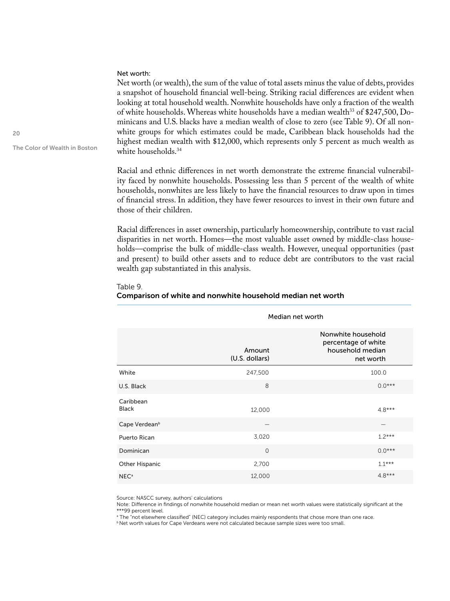### Net worth:

Net worth (or wealth), the sum of the value of total assets minus the value of debts, provides a snapshot of household financial well-being. Striking racial differences are evident when looking at total household wealth. Nonwhite households have only a fraction of the wealth of white households. Whereas white households have a median wealth<sup>33</sup> of \$247,500, Dominicans and U.S. blacks have a median wealth of close to zero (see Table 9). Of all nonwhite groups for which estimates could be made, Caribbean black households had the highest median wealth with \$12,000, which represents only 5 percent as much wealth as white households.<sup>34</sup>

Racial and ethnic differences in net worth demonstrate the extreme financial vulnerability faced by nonwhite households. Possessing less than 5 percent of the wealth of white households, nonwhites are less likely to have the financial resources to draw upon in times of financial stress. In addition, they have fewer resources to invest in their own future and those of their children.

Racial differences in asset ownership, particularly homeownership, contribute to vast racial disparities in net worth. Homes—the most valuable asset owned by middle-class households—comprise the bulk of middle-class wealth. However, unequal opportunities (past and present) to build other assets and to reduce debt are contributors to the vast racial wealth gap substantiated in this analysis.

#### Table 9.

### Comparison of white and nonwhite household median net worth

|                           | Median net worth         |                                                                            |  |  |  |  |
|---------------------------|--------------------------|----------------------------------------------------------------------------|--|--|--|--|
|                           | Amount<br>(U.S. dollars) | Nonwhite household<br>percentage of white<br>household median<br>net worth |  |  |  |  |
| White                     | 247,500                  | 100.0                                                                      |  |  |  |  |
| U.S. Black                | 8                        | $0.0***$                                                                   |  |  |  |  |
| Caribbean<br><b>Black</b> | 12,000                   | $4.8***$                                                                   |  |  |  |  |
| Cape Verdean <sup>b</sup> |                          |                                                                            |  |  |  |  |
| <b>Puerto Rican</b>       | 3,020                    | $1.2***$                                                                   |  |  |  |  |
| Dominican                 | $\mathbf{O}$             | $0.0***$                                                                   |  |  |  |  |
| <b>Other Hispanic</b>     | 2,700                    | $1.1***$                                                                   |  |  |  |  |
| <b>NEC</b> <sup>a</sup>   | 12,000                   | $4.8***$                                                                   |  |  |  |  |

Source: NASCC survey, authors' calculations

Note: Difference in findings of nonwhite household median or mean net worth values were statistically significant at the \*\*\*99 percent level.

a The "not elsewhere classified" (NEC) category includes mainly respondents that chose more than one race.

b Net worth values for Cape Verdeans were not calculated because sample sizes were too small.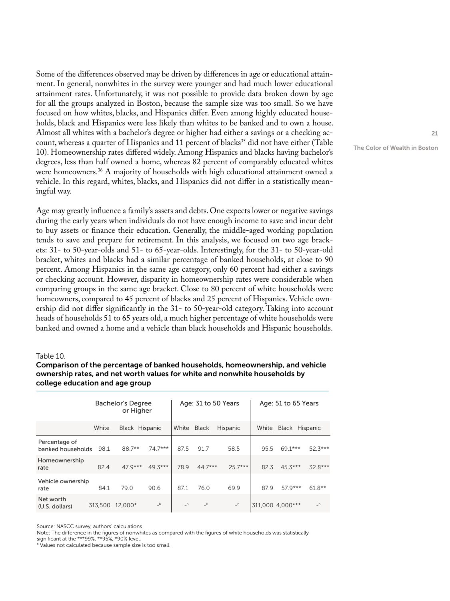Some of the differences observed may be driven by differences in age or educational attainment. In general, nonwhites in the survey were younger and had much lower educational attainment rates. Unfortunately, it was not possible to provide data broken down by age for all the groups analyzed in Boston, because the sample size was too small. So we have focused on how whites, blacks, and Hispanics differ. Even among highly educated households, black and Hispanics were less likely than whites to be banked and to own a house. Almost all whites with a bachelor's degree or higher had either a savings or a checking account, whereas a quarter of Hispanics and 11 percent of blacks<sup>35</sup> did not have either (Table 10). Homeownership rates differed widely. Among Hispanics and blacks having bachelor's degrees, less than half owned a home, whereas 82 percent of comparably educated whites were homeowners.<sup>36</sup> A majority of households with high educational attainment owned a vehicle. In this regard, whites, blacks, and Hispanics did not differ in a statistically meaningful way.

Age may greatly influence a family's assets and debts. One expects lower or negative savings during the early years when individuals do not have enough income to save and incur debt to buy assets or finance their education. Generally, the middle-aged working population tends to save and prepare for retirement. In this analysis, we focused on two age brackets: 31- to 50-year-olds and 51- to 65-year-olds. Interestingly, for the 31- to 50-year-old bracket, whites and blacks had a similar percentage of banked households, at close to 90 percent. Among Hispanics in the same age category, only 60 percent had either a savings or checking account. However, disparity in homeownership rates were considerable when comparing groups in the same age bracket. Close to 80 percent of white households were homeowners, compared to 45 percent of blacks and 25 percent of Hispanics. Vehicle ownership did not differ significantly in the 31- to 50-year-old category. Taking into account heads of households 51 to 65 years old, a much higher percentage of white households were banked and owned a home and a vehicle than black households and Hispanic households.

#### Table 10.

### Comparison of the percentage of banked households, homeownership, and vehicle ownership rates, and net worth values for white and nonwhite households by college education and age group

|                                    | Bachelor's Degree<br>or Higher |                |           | Age: 31 to 50 Years |           |           | Age: 51 to 65 Years |                      |           |
|------------------------------------|--------------------------------|----------------|-----------|---------------------|-----------|-----------|---------------------|----------------------|-----------|
|                                    | White                          | Black Hispanic |           | White               | Black     | Hispanic  |                     | White Black Hispanic |           |
| Percentage of<br>banked households | 98.1                           | 88.7**         | $74.7***$ | 87.5                | 91.7      | 58.5      | 95.5                | 69.1***              | $52.3***$ |
| Homeownership<br>rate              | 82.4                           | $47.9***$      | $49.3***$ | 78.9                | $44.7***$ | $25.7***$ | 82.3                | $45.3***$            | $32.8***$ |
| Vehicle ownership<br>rate          | 84.1                           | 79.0           | 90.6      | 87.1                | 76.0      | 69.9      | 87.9                | $579***$             | $61.8**$  |
| Net worth<br>(U.S. dollars)        | 313,500                        | 12.000*        | $-b$      | $-b$                | $-b$      | $-b$      |                     | 311,000 4,000***     | $-b$      |

Source: NASCC survey, authors' calculations

Note: The difference in the figures of nonwhites as compared with the figures of white households was statistically

significant at the \*\*\*99%, \*\*95%, \*90% level. **b** Values not calculated because sample size is too small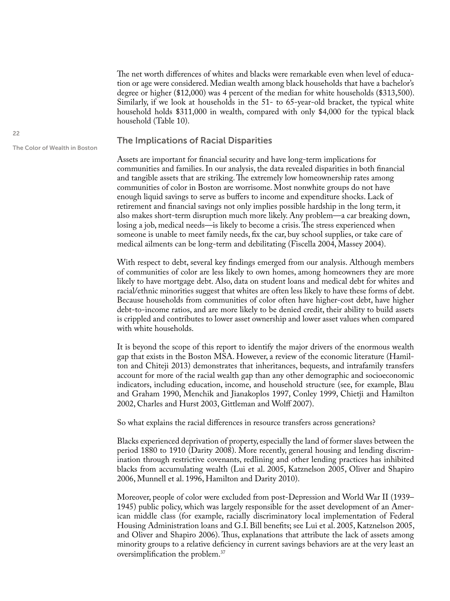The net worth differences of whites and blacks were remarkable even when level of education or age were considered. Median wealth among black households that have a bachelor's degree or higher (\$12,000) was 4 percent of the median for white households (\$313,500). Similarly, if we look at households in the 51- to 65-year-old bracket, the typical white household holds \$311,000 in wealth, compared with only \$4,000 for the typical black household (Table 10).

### The Implications of Racial Disparities

Assets are important for financial security and have long-term implications for communities and families. In our analysis, the data revealed disparities in both financial and tangible assets that are striking. The extremely low homeownership rates among communities of color in Boston are worrisome. Most nonwhite groups do not have enough liquid savings to serve as buffers to income and expenditure shocks. Lack of retirement and financial savings not only implies possible hardship in the long term, it also makes short-term disruption much more likely. Any problem—a car breaking down, losing a job, medical needs—is likely to become a crisis. The stress experienced when someone is unable to meet family needs, fix the car, buy school supplies, or take care of medical ailments can be long-term and debilitating (Fiscella 2004, Massey 2004).

With respect to debt, several key findings emerged from our analysis. Although members of communities of color are less likely to own homes, among homeowners they are more likely to have mortgage debt. Also, data on student loans and medical debt for whites and racial/ethnic minorities suggest that whites are often less likely to have these forms of debt. Because households from communities of color often have higher-cost debt, have higher debt-to-income ratios, and are more likely to be denied credit, their ability to build assets is crippled and contributes to lower asset ownership and lower asset values when compared with white households.

It is beyond the scope of this report to identify the major drivers of the enormous wealth gap that exists in the Boston MSA. However, a review of the economic literature (Hamilton and Chiteji 2013) demonstrates that inheritances, bequests, and intrafamily transfers account for more of the racial wealth gap than any other demographic and socioeconomic indicators, including education, income, and household structure (see, for example, Blau and Graham 1990, Menchik and Jianakoplos 1997, Conley 1999, Chietji and Hamilton 2002, Charles and Hurst 2003, Gittleman and Wolff 2007).

So what explains the racial differences in resource transfers across generations?

Blacks experienced deprivation of property, especially the land of former slaves between the period 1880 to 1910 (Darity 2008). More recently, general housing and lending discrimination through restrictive covenants, redlining and other lending practices has inhibited blacks from accumulating wealth (Lui et al. 2005, Katznelson 2005, Oliver and Shapiro 2006, Munnell et al. 1996, Hamilton and Darity 2010).

Moreover, people of color were excluded from post-Depression and World War II (1939– 1945) public policy, which was largely responsible for the asset development of an American middle class (for example, racially discriminatory local implementation of Federal Housing Administration loans and G.I. Bill benefits; see Lui et al. 2005, Katznelson 2005, and Oliver and Shapiro 2006). Thus, explanations that attribute the lack of assets among minority groups to a relative deficiency in current savings behaviors are at the very least an oversimplification the problem.37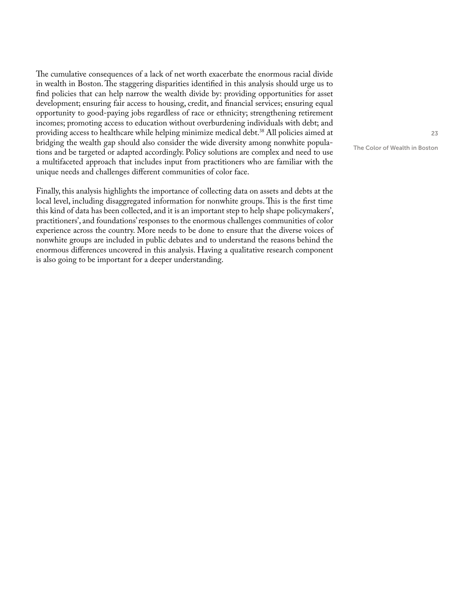The cumulative consequences of a lack of net worth exacerbate the enormous racial divide in wealth in Boston. The staggering disparities identified in this analysis should urge us to find policies that can help narrow the wealth divide by: providing opportunities for asset development; ensuring fair access to housing, credit, and financial services; ensuring equal opportunity to good-paying jobs regardless of race or ethnicity; strengthening retirement incomes; promoting access to education without overburdening individuals with debt; and providing access to healthcare while helping minimize medical debt.38 All policies aimed at bridging the wealth gap should also consider the wide diversity among nonwhite populations and be targeted or adapted accordingly. Policy solutions are complex and need to use a multifaceted approach that includes input from practitioners who are familiar with the unique needs and challenges different communities of color face.

Finally, this analysis highlights the importance of collecting data on assets and debts at the local level, including disaggregated information for nonwhite groups. This is the first time this kind of data has been collected, and it is an important step to help shape policymakers', practitioners', and foundations' responses to the enormous challenges communities of color experience across the country. More needs to be done to ensure that the diverse voices of nonwhite groups are included in public debates and to understand the reasons behind the enormous differences uncovered in this analysis. Having a qualitative research component is also going to be important for a deeper understanding.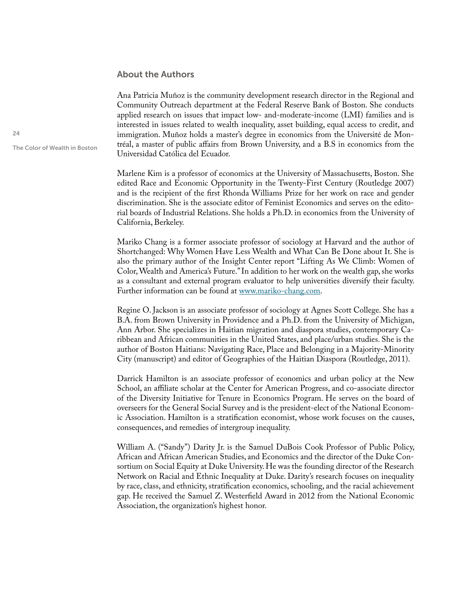### About the Authors

Ana Patricia Muñoz is the community development research director in the Regional and Community Outreach department at the Federal Reserve Bank of Boston. She conducts applied research on issues that impact low- and-moderate-income (LMI) families and is interested in issues related to wealth inequality, asset building, equal access to credit, and immigration. Muñoz holds a master's degree in economics from the Université de Montréal, a master of public affairs from Brown University, and a B.S in economics from the Universidad Católica del Ecuador.

Marlene Kim is a professor of economics at the University of Massachusetts, Boston. She edited Race and Economic Opportunity in the Twenty-First Century (Routledge 2007) and is the recipient of the first Rhonda Williams Prize for her work on race and gender discrimination. She is the associate editor of Feminist Economics and serves on the editorial boards of Industrial Relations. She holds a Ph.D. in economics from the University of California, Berkeley.

Mariko Chang is a former associate professor of sociology at Harvard and the author of Shortchanged: Why Women Have Less Wealth and What Can Be Done about It. She is also the primary author of the Insight Center report "Lifting As We Climb: Women of Color, Wealth and America's Future." In addition to her work on the wealth gap, she works as a consultant and external program evaluator to help universities diversify their faculty. Further information can be found at [www.mariko-chang.com](http://www.mariko-chang.com).

Regine O. Jackson is an associate professor of sociology at Agnes Scott College. She has a B.A. from Brown University in Providence and a Ph.D. from the University of Michigan, Ann Arbor. She specializes in Haitian migration and diaspora studies, contemporary Caribbean and African communities in the United States, and place/urban studies. She is the author of Boston Haitians: Navigating Race, Place and Belonging in a Majority-Minority City (manuscript) and editor of Geographies of the Haitian Diaspora (Routledge, 2011).

Darrick Hamilton is an associate professor of economics and urban policy at the New School, an affiliate scholar at the Center for American Progress, and co-associate director of the Diversity Initiative for Tenure in Economics Program. He serves on the board of overseers for the General Social Survey and is the president-elect of the National Economic Association. Hamilton is a stratification economist, whose work focuses on the causes, consequences, and remedies of intergroup inequality.

William A. ("Sandy") Darity Jr. is the Samuel DuBois Cook Professor of Public Policy, African and African American Studies, and Economics and the director of the Duke Consortium on Social Equity at Duke University. He was the founding director of the Research Network on Racial and Ethnic Inequality at Duke. Darity's research focuses on inequality by race, class, and ethnicity, stratification economics, schooling, and the racial achievement gap. He received the Samuel Z. Westerfield Award in 2012 from the National Economic Association, the organization's highest honor.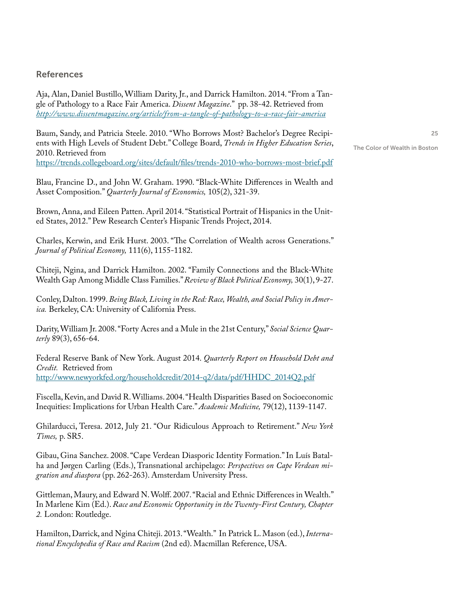### References

Aja, Alan, Daniel Bustillo, William Darity, Jr., and Darrick Hamilton. 2014. "From a Tangle of Pathology to a Race Fair America. *Dissent Magazine*." pp. 38-42. Retrieved from *http://www.dissentmagazine.org/article/from-a-tangle-of-pathology-to-a-race-fair-america*

Baum, Sandy, and Patricia Steele. 2010. "Who Borrows Most? Bachelor's Degree Recipients with High Levels of Student Debt." College Board, *Trends in Higher Education Series*, 2010. Retrieved from https://trends.collegeboard.org/sites/default/files/trends-2010-who-borrows-most-brief.pdf

Blau, Francine D., and John W. Graham. 1990. "Black-White Differences in Wealth and Asset Composition." *Quarterly Journal of Economics,* 105(2), 321-39.

Brown, Anna, and Eileen Patten. April 2014. "Statistical Portrait of Hispanics in the United States, 2012." Pew Research Center's Hispanic Trends Project, 2014.

Charles, Kerwin, and Erik Hurst. 2003. "The Correlation of Wealth across Generations." *Journal of Political Economy,* 111(6), 1155-1182.

Chiteji, Ngina, and Darrick Hamilton. 2002. "Family Connections and the Black-White Wealth Gap Among Middle Class Families." *Review of Black Political Economy,* 30(1), 9-27.

Conley, Dalton. 1999. *Being Black, Living in the Red: Race, Wealth, and Social Policy in America.* Berkeley, CA: University of California Press.

Darity, William Jr. 2008. "Forty Acres and a Mule in the 21st Century," *Social Science Quarterly* 89(3), 656-64.

Federal Reserve Bank of New York. August 2014. *Quarterly Report on Household Debt and Credit.* Retrieved from http://www.newyorkfed.org/householdcredit/2014-q2/data/pdf/HHDC\_2014Q2.pdf

Fiscella, Kevin, and David R. Williams. 2004. "Health Disparities Based on Socioeconomic Inequities: Implications for Urban Health Care." *Academic Medicine,* 79(12), 1139-1147.

Ghilarducci, Teresa. 2012, July 21. "Our Ridiculous Approach to Retirement." *New York Times,* p. SR5.

Gibau, Gina Sanchez. 2008. "Cape Verdean Diasporic Identity Formation." In Luís Batalha and Jørgen Carling (Eds.), Transnational archipelago: *Perspectives on Cape Verdean migration and diaspora* (pp. 262-263). Amsterdam University Press.

Gittleman, Maury, and Edward N. Wolff. 2007. "Racial and Ethnic Differences in Wealth." In Marlene Kim (Ed.). *Race and Economic Opportunity in the Twenty-First Century, Chapter 2.* London: Routledge.

Hamilton, Darrick, and Ngina Chiteji. 2013. "Wealth." In Patrick L. Mason (ed.), *International Encyclopedia of Race and Racism* (2nd ed). Macmillan Reference, USA.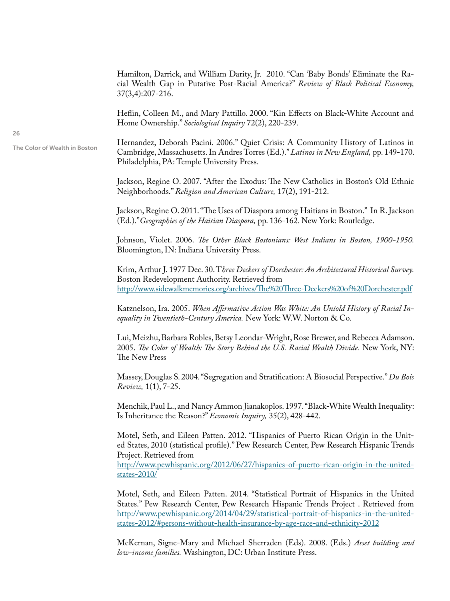Hamilton, Darrick, and William Darity, Jr. 2010. "Can 'Baby Bonds' Eliminate the Racial Wealth Gap in Putative Post-Racial America?" *Review of Black Political Economy,*  37(3,4):207-216.

Heflin, Colleen M., and Mary Pattillo. 2000. "Kin Effects on Black-White Account and Home Ownership." *Sociological Inquiry* 72(2), 220-239.

Hernandez, Deborah Pacini. 2006." Quiet Crisis: A Community History of Latinos in Cambridge, Massachusetts. In Andres Torres (Ed.)." *Latinos in New England,* pp. 149-170. Philadelphia, PA: Temple University Press.

Jackson, Regine O. 2007. "After the Exodus: The New Catholics in Boston's Old Ethnic Neighborhoods." *Religion and American Culture,* 17(2), 191-212.

Jackson, Regine O. 2011. "The Uses of Diaspora among Haitians in Boston." In R. Jackson (Ed.)."*Geographies of the Haitian Diaspora,* pp. 136-162. New York: Routledge.

Johnson, Violet. 2006. *The Other Black Bostonians: West Indians in Boston, 1900-1950.*  Bloomington, IN: Indiana University Press.

Krim, Arthur J. 1977 Dec. 30. T*hree Deckers of Dorchester: An Architectural Historical Survey.*  Boston Redevelopment Authority. Retrieved from http://www.sidewalkmemories.org/archives/The%20Three-Deckers%20of%20Dorchester.pdf

Katznelson, Ira. 2005. *When Affirmative Action Was White: An Untold History of Racial Inequality in Twentieth-Century America.* New York: W.W. Norton & Co.

Lui, Meizhu, Barbara Robles, Betsy Leondar-Wright, Rose Brewer, and Rebecca Adamson. 2005. *The Color of Wealth: The Story Behind the U.S. Racial Wealth Divide.* New York, NY: The New Press

Massey, Douglas S. 2004. "Segregation and Stratification: A Biosocial Perspective." *Du Bois Review,* 1(1), 7-25.

Menchik, Paul L., and Nancy Ammon Jianakoplos. 1997. "Black-White Wealth Inequality: Is Inheritance the Reason?" *Economic Inquiry,* 35(2), 428-442.

Motel, Seth, and Eileen Patten. 2012. "Hispanics of Puerto Rican Origin in the United States, 2010 (statistical profile)." Pew Research Center, Pew Research Hispanic Trends Project. Retrieved from

http://www.pewhispanic.org/2012/06/27/hispanics-of-puerto-rican-origin-in-the-unitedstates-2010/

Motel, Seth, and Eileen Patten. 2014. "Statistical Portrait of Hispanics in the United States." Pew Research Center, Pew Research Hispanic Trends Project . Retrieved from http://www.pewhispanic.org/2014/04/29/statistical-portrait-of-hispanics-in-the-unitedstates-2012/#persons-without-health-insurance-by-age-race-and-ethnicity-2012

McKernan, Signe-Mary and Michael Sherraden (Eds). 2008. (Eds.) *Asset building and low-income families.* Washington, DC: Urban Institute Press.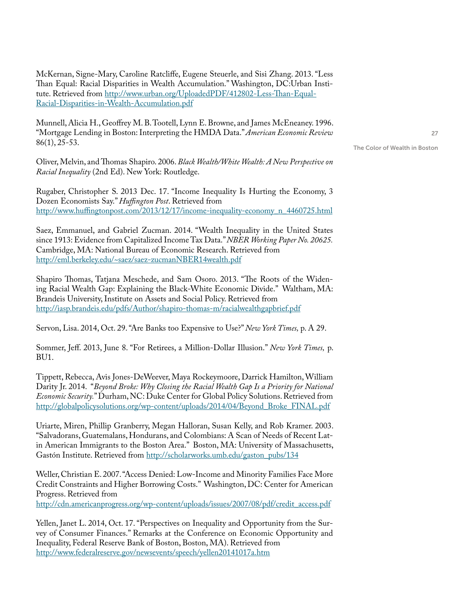McKernan, Signe-Mary, Caroline Ratcliffe, Eugene Steuerle, and Sisi Zhang. 2013. "Less Than Equal: Racial Disparities in Wealth Accumulation." Washington, DC:Urban Institute. Retrieved from http://www.urban.org/UploadedPDF/412802-Less-Than-Equal-Racial-Disparities-in-Wealth-Accumulation.pdf

Munnell, Alicia H., Geoffrey M. B. Tootell, Lynn E. Browne, and James McEneaney. 1996. "Mortgage Lending in Boston: Interpreting the HMDA Data." *American Economic Review* 86(1), 25-53.

Oliver, Melvin, and Thomas Shapiro. 2006. *Black Wealth/White Wealth: A New Perspective on Racial Inequality* (2nd Ed). New York: Routledge.

Rugaber, Christopher S. 2013 Dec. 17. "Income Inequality Is Hurting the Economy, 3 Dozen Economists Say." *Huffington Post*. Retrieved from http://www.huffingtonpost.com/2013/12/17/income-inequality-economy\_n\_4460725.html

Saez, Emmanuel, and Gabriel Zucman. 2014. "Wealth Inequality in the United States since 1913: Evidence from Capitalized Income Tax Data." *NBER Working Paper No. 20625.* Cambridge, MA: National Bureau of Economic Research. Retrieved from http://eml.berkeley.edu/~saez/saez-zucmanNBER14wealth.pdf

Shapiro Thomas, Tatjana Meschede, and Sam Osoro. 2013. "The Roots of the Widening Racial Wealth Gap: Explaining the Black-White Economic Divide." Waltham, MA: Brandeis University, Institute on Assets and Social Policy. Retrieved from http://iasp.brandeis.edu/pdfs/Author/shapiro-thomas-m/racialwealthgapbrief.pdf

Servon, Lisa. 2014, Oct. 29. "Are Banks too Expensive to Use?" *New York Times,* p. A 29.

Sommer, Jeff. 2013, June 8. "For Retirees, a Million-Dollar Illusion." *New York Times,* p. BU1.

Tippett, Rebecca, Avis Jones-DeWeever, Maya Rockeymoore, Darrick Hamilton, William Darity Jr. 2014. "*Beyond Broke: Why Closing the Racial Wealth Gap Is a Priority for National Economic Security.*" Durham, NC: Duke Center for Global Policy Solutions. Retrieved from http://globalpolicysolutions.org/wp-content/uploads/2014/04/Beyond\_Broke\_FINAL.pdf

Uriarte, Miren, Phillip Granberry, Megan Halloran, Susan Kelly, and Rob Kramer. 2003. "Salvadorans, Guatemalans, Hondurans, and Colombians: A Scan of Needs of Recent Latin American Immigrants to the Boston Area." Boston, MA: University of Massachusetts, Gastón Institute. Retrieved from http://scholarworks.umb.edu/gaston\_pubs/134

Weller, Christian E. 2007. "Access Denied: Low-Income and Minority Families Face More Credit Constraints and Higher Borrowing Costs." Washington, DC: Center for American Progress. Retrieved from

http://cdn.americanprogress.org/wp-content/uploads/issues/2007/08/pdf/credit\_access.pdf

Yellen, Janet L. 2014, Oct. 17. "Perspectives on Inequality and Opportunity from the Survey of Consumer Finances." Remarks at the Conference on Economic Opportunity and Inequality, Federal Reserve Bank of Boston, Boston, MA). Retrieved from http://www.federalreserve.gov/newsevents/speech/yellen20141017a.htm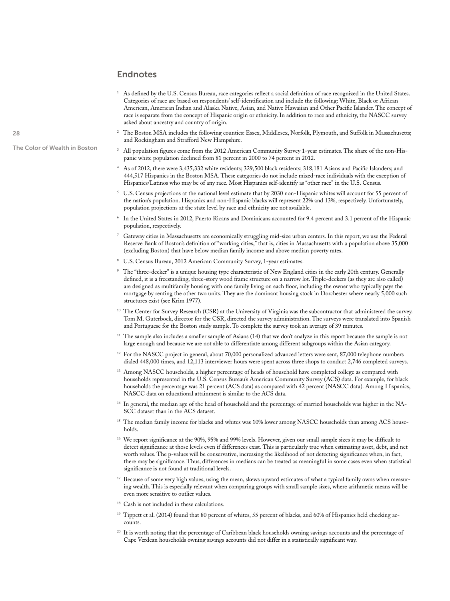### Endnotes

- 1 As defined by the U.S. Census Bureau, race categories reflect a social definition of race recognized in the United States. Categories of race are based on respondents' self-identification and include the following: White, Black or African American, American Indian and Alaska Native, Asian, and Native Hawaiian and Other Pacific Islander. The concept of race is separate from the concept of Hispanic origin or ethnicity. In addition to race and ethnicity, the NASCC survey asked about ancestry and country of origin.
- 2 The Boston MSA includes the following counties: Essex, Middlesex, Norfolk, Plymouth, and Suffolk in Massachusetts; and Rockingham and Strafford New Hampshire.
- 3 All population figures come from the 2012 American Community Survey 1-year estimates. The share of the non-Hispanic white population declined from 81 percent in 2000 to 74 percent in 2012.
- 4 As of 2012, there were 3,435,332 white residents; 329,500 black residents; 318,181 Asians and Pacific Islanders; and 444,517 Hispanics in the Boston MSA. These categories do not include mixed-race individuals with the exception of Hispanics/Latinos who may be of any race. Most Hispanics self-identify as "other race" in the U.S. Census.
- 5 U.S. Census projections at the national level estimate that by 2030 non-Hispanic whites will account for 55 percent of the nation's population. Hispanics and non-Hispanic blacks will represent 22% and 13%, respectively. Unfortunately, population projections at the state level by race and ethnicity are not available.
- 6 In the United States in 2012, Puerto Ricans and Dominicans accounted for 9.4 percent and 3.1 percent of the Hispanic population, respectively.
- 7 Gateway cities in Massachusetts are economically struggling mid-size urban centers. In this report, we use the Federal Reserve Bank of Boston's definition of "working cities," that is, cities in Massachusetts with a population above 35,000 (excluding Boston) that have below median family income and above median poverty rates.
- 8 U.S. Census Bureau, 2012 American Community Survey, 1-year estimates.
- 9 The "three-decker" is a unique housing type characteristic of New England cities in the early 20th century. Generally defined, it is a freestanding, three-story wood frame structure on a narrow lot. Triple-deckers (as they are also called) are designed as multifamily housing with one family living on each floor, including the owner who typically pays the mortgage by renting the other two units. They are the dominant housing stock in Dorchester where nearly 5,000 such structures exist (see Krim 1977).
- 10 The Center for Survey Research (CSR) at the University of Virginia was the subcontractor that administered the survey. Tom M. Guterbock, director for the CSR, directed the survey administration. The surveys were translated into Spanish and Portuguese for the Boston study sample. To complete the survey took an average of 39 minutes.
- $11$  The sample also includes a smaller sample of Asians (14) that we don't analyze in this report because the sample is not large enough and because we are not able to differentiate among different subgroups within the Asian category.
- $12$  For the NASCC project in general, about 70,000 personalized advanced letters were sent, 87,000 telephone numbers dialed 448,000 times, and 12,113 interviewer hours were spent across three shops to conduct 2,746 completed surveys.
- <sup>13</sup> Among NASCC households, a higher percentage of heads of household have completed college as compared with households represented in the U.S. Census Bureau's American Community Survey (ACS) data. For example, for black households the percentage was 21 percent (ACS data) as compared with 42 percent (NASCC data). Among Hispanics, NASCC data on educational attainment is similar to the ACS data.
- 14 In general, the median age of the head of household and the percentage of married households was higher in the NA-SCC dataset than in the ACS dataset.
- <sup>15</sup> The median family income for blacks and whites was 10% lower among NASCC households than among ACS households.
- <sup>16</sup> We report significance at the 90%, 95% and 99% levels. However, given our small sample sizes it may be difficult to detect significance at those levels even if differences exist. This is particularly true when estimating asset, debt, and net worth values. The p-values will be conservative, increasing the likelihood of not detecting significance when, in fact, there may be significance. Thus, differences in medians can be treated as meaningful in some cases even when statistical significance is not found at traditional levels.
- Because of some very high values, using the mean, skews upward estimates of what a typical family owns when measuring wealth. This is especially relevant when comparing groups with small sample sizes, where arithmetic means will be even more sensitive to outlier values.
- Cash is not included in these calculations.
- <sup>19</sup> Tippett et al. (2014) found that 80 percent of whites, 55 percent of blacks, and 60% of Hispanics held checking accounts.
- $20$  It is worth noting that the percentage of Caribbean black households owning savings accounts and the percentage of Cape Verdean households owning savings accounts did not differ in a statistically significant way.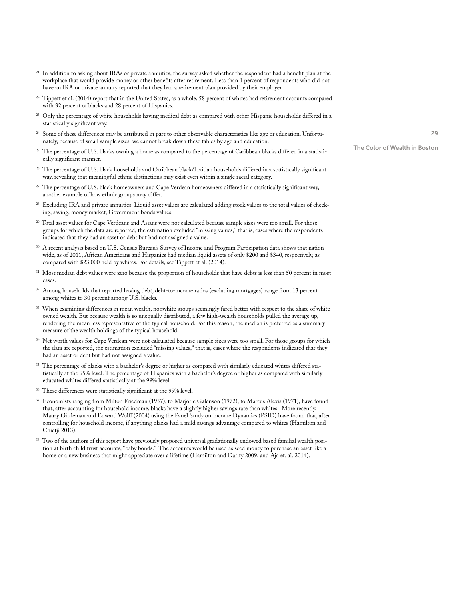- <sup>21</sup> In addition to asking about IRAs or private annuities, the survey asked whether the respondent had a benefit plan at the workplace that would provide money or other benefits after retirement. Less than 1 percent of respondents who did not have an IRA or private annuity reported that they had a retirement plan provided by their employer.
- $^{22}$  Tippett et al. (2014) report that in the United States, as a whole, 58 percent of whites had retirement accounts compared with 32 percent of blacks and 28 percent of Hispanics.
- $^{23}$  Only the percentage of white households having medical debt as compared with other Hispanic households differed in a statistically significant way.
- <sup>24</sup> Some of these differences may be attributed in part to other observable characteristics like age or education. Unfortunately, because of small sample sizes, we cannot break down these tables by age and education.
- <sup>25</sup> The percentage of U.S. blacks owning a home as compared to the percentage of Caribbean blacks differed in a statistically significant manner.
- <sup>26</sup> The percentage of U.S. black households and Caribbean black/Haitian households differed in a statistically significant way, revealing that meaningful ethnic distinctions may exist even within a single racial category.
- <sup>27</sup> The percentage of U.S. black homeowners and Cape Verdean homeowners differed in a statistically significant way, another example of how ethnic groups may differ.
- 28 Excluding IRA and private annuities. Liquid asset values are calculated adding stock values to the total values of checking, saving, money market, Government bonds values.
- <sup>29</sup> Total asset values for Cape Verdeans and Asians were not calculated because sample sizes were too small. For those groups for which the data are reported, the estimation excluded "missing values," that is, cases where the respondents indicated that they had an asset or debt but had not assigned a value.
- <sup>30</sup> A recent analysis based on U.S. Census Bureau's Survey of Income and Program Participation data shows that nationwide, as of 2011, African Americans and Hispanics had median liquid assets of only \$200 and \$340, respectively, as compared with \$23,000 held by whites. For details, see Tippett et al. (2014).
- <sup>31</sup> Most median debt values were zero because the proportion of households that have debts is less than 50 percent in most cases.
- $32$  Among households that reported having debt, debt-to-income ratios (excluding mortgages) range from 13 percent among whites to 30 percent among U.S. blacks.
- <sup>33</sup> When examining differences in mean wealth, nonwhite groups seemingly fared better with respect to the share of whiteowned wealth. But because wealth is so unequally distributed, a few high-wealth households pulled the average up, rendering the mean less representative of the typical household. For this reason, the median is preferred as a summary measure of the wealth holdings of the typical household.
- Net worth values for Cape Verdean were not calculated because sample sizes were too small. For those groups for which the data are reported, the estimation excluded "missing values," that is, cases where the respondents indicated that they had an asset or debt but had not assigned a value.
- <sup>35</sup> The percentage of blacks with a bachelor's degree or higher as compared with similarly educated whites differed statistically at the 95% level. The percentage of Hispanics with a bachelor's degree or higher as compared with similarly educated whites differed statistically at the 99% level.
- <sup>36</sup> These differences were statistically significant at the 99% level.
- 37 Economists ranging from Milton Friedman (1957), to Marjorie Galenson (1972), to Marcus Alexis (1971), have found that, after accounting for household income, blacks have a slightly higher savings rate than whites. More recently, Maury Gittleman and Edward Wolff (2004) using the Panel Study on Income Dynamics (PSID) have found that, after controlling for household income, if anything blacks had a mild savings advantage compared to whites (Hamilton and Chietji 2013).
- <sup>38</sup> Two of the authors of this report have previously proposed universal gradationally endowed based familial wealth position at birth child trust accounts, "baby bonds." The accounts would be used as seed money to purchase an asset like a home or a new business that might appreciate over a lifetime (Hamilton and Darity 2009, and Aja et. al. 2014).

29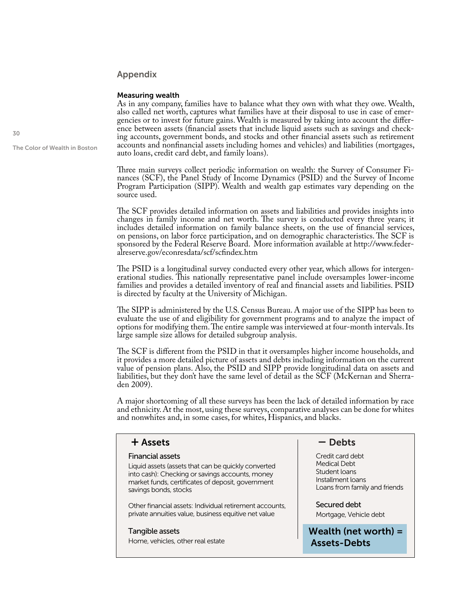### Appendix

### Measuring wealth

As in any company, families have to balance what they own with what they owe. Wealth, also called net worth, captures what families have at their disposal to use in case of emergencies or to invest for future gains. Wealth is measured by taking into account the difference between assets (financial assets that include liquid assets such as savings and checking accounts, government bonds, and stocks and other financial assets such as retirement accounts and nonfinancial assets including homes and vehicles) and liabilities (mortgages, auto loans, credit card debt, and family loans).

Three main surveys collect periodic information on wealth: the Survey of Consumer Finances (SCF), the Panel Study of Income Dynamics (PSID) and the Survey of Income Program Participation (SIPP). Wealth and wealth gap estimates vary depending on the source used.

The SCF provides detailed information on assets and liabilities and provides insights into changes in family income and net worth. The survey is conducted every three years; it includes detailed information on family balance sheets, on the use of financial services, on pensions, on labor force participation, and on demographic characteristics. The SCF is sponsored by the Federal Reserve Board. More information available at http://www.federalreserve.gov/econresdata/scf/scfindex.htm

The PSID is a longitudinal survey conducted every other year, which allows for intergenerational studies. This nationally representative panel include oversamples lower-income families and provides a detailed inventory of real and financial assets and liabilities. PSID is directed by faculty at the University of Michigan.

The SIPP is administered by the U.S. Census Bureau. A major use of the SIPP has been to evaluate the use of and eligibility for government programs and to analyze the impact of options for modifying them. The entire sample was interviewed at four-month intervals. Its large sample size allows for detailed subgroup analysis.

The SCF is different from the PSID in that it oversamples higher income households, and it provides a more detailed picture of assets and debts including information on the current value of pension plans. Also, the PSID and SIPP provide longitudinal data on assets and liabilities, but they don't have the same level of detail as the SCF (McKernan and Sherraden 2009).

A major shortcoming of all these surveys has been the lack of detailed information by race and ethnicity. At the most, using these surveys, comparative analyses can be done for whites and nonwhites and, in some cases, for whites, Hispanics, and blacks.

### + Assets – Debts

### Financial assets

Liquid assets (assets that can be quickly converted into cash): Checking or savings accounts, money market funds, certificates of deposit, government savings bonds, stocks

Other financial assets: Individual retirement accounts, private annuities value, business equitive net value

#### Tangible assets

Home, vehicles, other real estate

Credit card debt Medical Debt Student loans Installment loans Loans from family and friends

Secured debt Mortgage, Vehicle debt

Wealth (net worth) = Assets-Debts